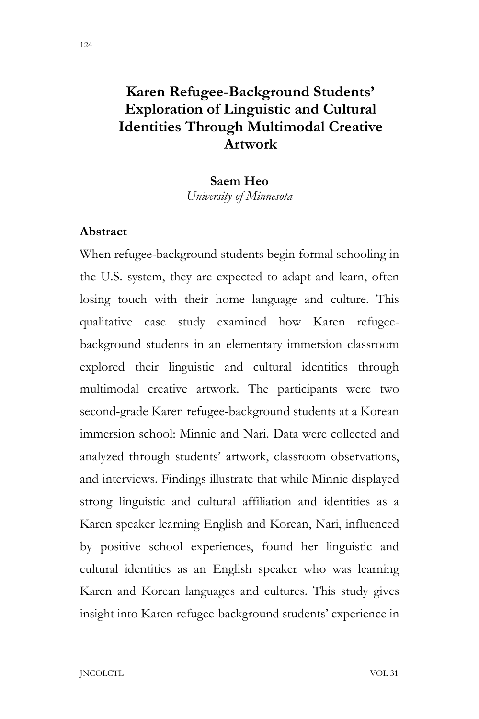# **Karen Refugee-Background Students' Exploration of Linguistic and Cultural Identities Through Multimodal Creative Artwork**

#### **Saem Heo**

*University of Minnesota*

## **Abstract**

When refugee-background students begin formal schooling in the U.S. system, they are expected to adapt and learn, often losing touch with their home language and culture. This qualitative case study examined how Karen refugeebackground students in an elementary immersion classroom explored their linguistic and cultural identities through multimodal creative artwork. The participants were two second-grade Karen refugee-background students at a Korean immersion school: Minnie and Nari. Data were collected and analyzed through students' artwork, classroom observations, and interviews. Findings illustrate that while Minnie displayed strong linguistic and cultural affiliation and identities as a Karen speaker learning English and Korean, Nari, influenced by positive school experiences, found her linguistic and cultural identities as an English speaker who was learning Karen and Korean languages and cultures. This study gives insight into Karen refugee-background students' experience in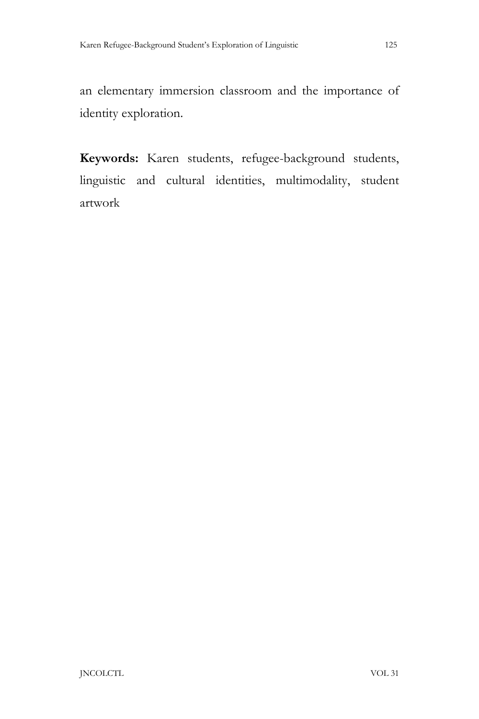an elementary immersion classroom and the importance of identity exploration.

**Keywords:** Karen students, refugee-background students, linguistic and cultural identities, multimodality, student artwork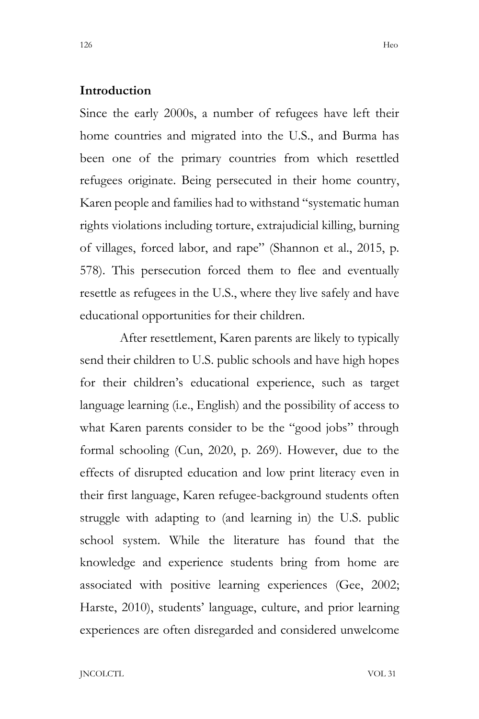#### **Introduction**

Since the early 2000s, a number of refugees have left their home countries and migrated into the U.S., and Burma has been one of the primary countries from which resettled refugees originate. Being persecuted in their home country, Karen people and families had to withstand "systematic human rights violations including torture, extrajudicial killing, burning of villages, forced labor, and rape" (Shannon et al., 2015, p. 578). This persecution forced them to flee and eventually resettle as refugees in the U.S., where they live safely and have educational opportunities for their children.

After resettlement, Karen parents are likely to typically send their children to U.S. public schools and have high hopes for their children's educational experience, such as target language learning (i.e., English) and the possibility of access to what Karen parents consider to be the "good jobs" through formal schooling (Cun, 2020, p. 269). However, due to the effects of disrupted education and low print literacy even in their first language, Karen refugee-background students often struggle with adapting to (and learning in) the U.S. public school system. While the literature has found that the knowledge and experience students bring from home are associated with positive learning experiences (Gee, 2002; Harste, 2010), students' language, culture, and prior learning experiences are often disregarded and considered unwelcome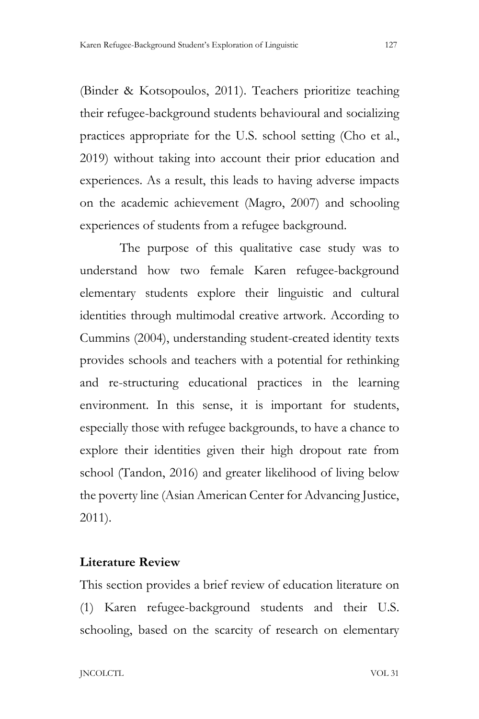(Binder & Kotsopoulos, 2011). Teachers prioritize teaching their refugee-background students behavioural and socializing practices appropriate for the U.S. school setting (Cho et al., 2019) without taking into account their prior education and experiences. As a result, this leads to having adverse impacts on the academic achievement (Magro, 2007) and schooling experiences of students from a refugee background.

The purpose of this qualitative case study was to understand how two female Karen refugee-background elementary students explore their linguistic and cultural identities through multimodal creative artwork. According to Cummins (2004), understanding student-created identity texts provides schools and teachers with a potential for rethinking and re-structuring educational practices in the learning environment. In this sense, it is important for students, especially those with refugee backgrounds, to have a chance to explore their identities given their high dropout rate from school (Tandon, 2016) and greater likelihood of living below the poverty line (Asian American Center for Advancing Justice, 2011).

# **Literature Review**

This section provides a brief review of education literature on (1) Karen refugee-background students and their U.S. schooling, based on the scarcity of research on elementary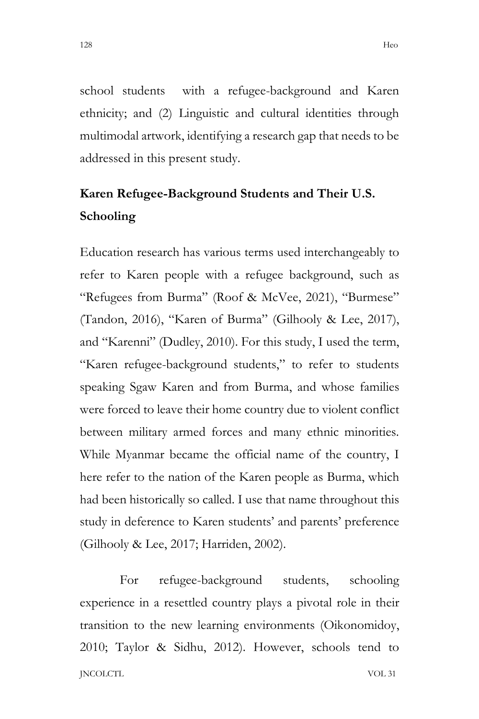school students with a refugee-background and Karen ethnicity; and (2) Linguistic and cultural identities through multimodal artwork, identifying a research gap that needs to be addressed in this present study.

# **Karen Refugee-Background Students and Their U.S. Schooling**

Education research has various terms used interchangeably to refer to Karen people with a refugee background, such as "Refugees from Burma" (Roof & McVee, 2021), "Burmese" (Tandon, 2016), "Karen of Burma" (Gilhooly & Lee, 2017), and "Karenni" (Dudley, 2010). For this study, I used the term, "Karen refugee-background students," to refer to students speaking Sgaw Karen and from Burma, and whose families were forced to leave their home country due to violent conflict between military armed forces and many ethnic minorities. While Myanmar became the official name of the country, I here refer to the nation of the Karen people as Burma, which had been historically so called. I use that name throughout this study in deference to Karen students' and parents' preference (Gilhooly & Lee, 2017; Harriden, 2002).

JNCOLCTL VOL 31 For refugee-background students, schooling experience in a resettled country plays a pivotal role in their transition to the new learning environments (Oikonomidoy, 2010; Taylor & Sidhu, 2012). However, schools tend to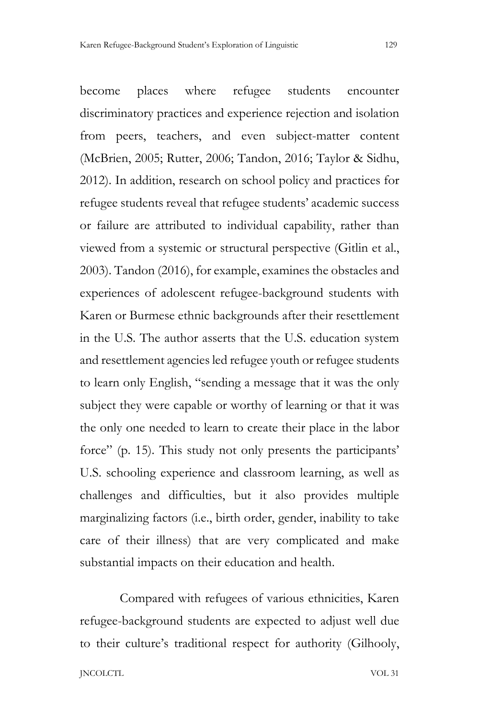become places where refugee students encounter discriminatory practices and experience rejection and isolation from peers, teachers, and even subject-matter content (McBrien, 2005; Rutter, 2006; Tandon, 2016; Taylor & Sidhu, 2012). In addition, research on school policy and practices for refugee students reveal that refugee students' academic success or failure are attributed to individual capability, rather than viewed from a systemic or structural perspective (Gitlin et al., 2003). Tandon (2016), for example, examines the obstacles and experiences of adolescent refugee-background students with Karen or Burmese ethnic backgrounds after their resettlement in the U.S. The author asserts that the U.S. education system and resettlement agencies led refugee youth or refugee students to learn only English, "sending a message that it was the only subject they were capable or worthy of learning or that it was the only one needed to learn to create their place in the labor force" (p. 15). This study not only presents the participants' U.S. schooling experience and classroom learning, as well as challenges and difficulties, but it also provides multiple marginalizing factors (i.e., birth order, gender, inability to take care of their illness) that are very complicated and make substantial impacts on their education and health.

Compared with refugees of various ethnicities, Karen refugee-background students are expected to adjust well due to their culture's traditional respect for authority (Gilhooly,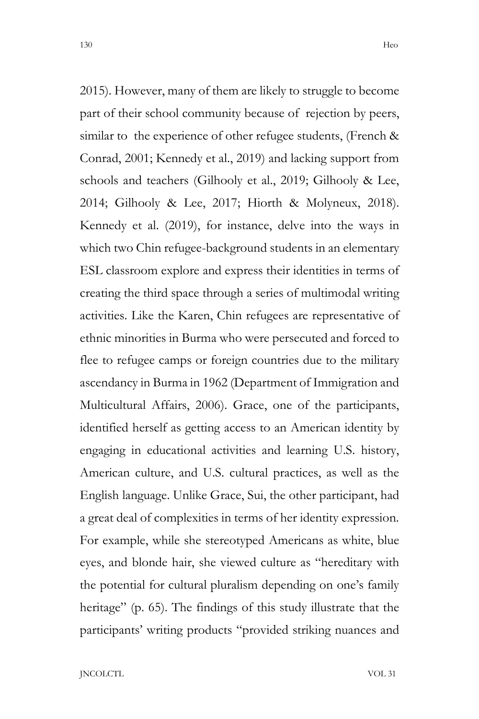2015). However, many of them are likely to struggle to become part of their school community because of rejection by peers, similar to the experience of other refugee students, (French & Conrad, 2001; Kennedy et al., 2019) and lacking support from schools and teachers (Gilhooly et al., 2019; Gilhooly & Lee, 2014; Gilhooly & Lee, 2017; Hiorth & Molyneux, 2018). Kennedy et al. (2019), for instance, delve into the ways in which two Chin refugee-background students in an elementary ESL classroom explore and express their identities in terms of creating the third space through a series of multimodal writing activities. Like the Karen, Chin refugees are representative of ethnic minorities in Burma who were persecuted and forced to flee to refugee camps or foreign countries due to the military ascendancy in Burma in 1962 (Department of Immigration and Multicultural Affairs, 2006). Grace, one of the participants, identified herself as getting access to an American identity by engaging in educational activities and learning U.S. history, American culture, and U.S. cultural practices, as well as the English language. Unlike Grace, Sui, the other participant, had a great deal of complexities in terms of her identity expression. For example, while she stereotyped Americans as white, blue eyes, and blonde hair, she viewed culture as "hereditary with the potential for cultural pluralism depending on one's family heritage" (p. 65). The findings of this study illustrate that the participants' writing products "provided striking nuances and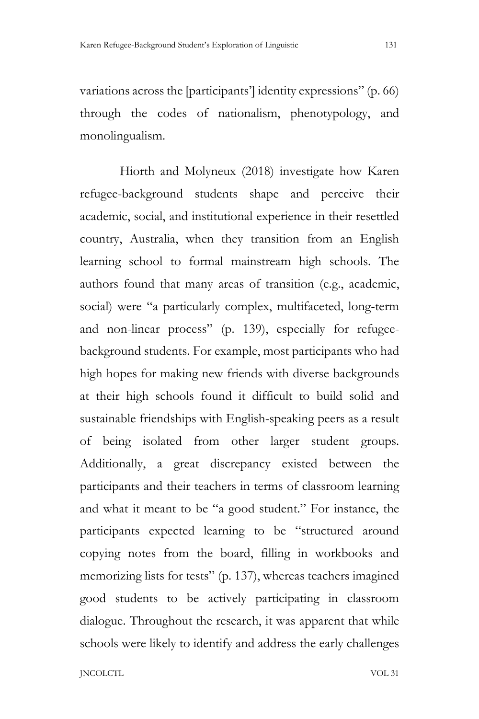variations across the [participants'] identity expressions" (p. 66) through the codes of nationalism, phenotypology, and monolingualism.

Hiorth and Molyneux (2018) investigate how Karen refugee-background students shape and perceive their academic, social, and institutional experience in their resettled country, Australia, when they transition from an English learning school to formal mainstream high schools. The authors found that many areas of transition (e.g., academic, social) were "a particularly complex, multifaceted, long-term and non-linear process" (p. 139), especially for refugeebackground students. For example, most participants who had high hopes for making new friends with diverse backgrounds at their high schools found it difficult to build solid and sustainable friendships with English-speaking peers as a result of being isolated from other larger student groups. Additionally, a great discrepancy existed between the participants and their teachers in terms of classroom learning and what it meant to be "a good student." For instance, the participants expected learning to be "structured around copying notes from the board, filling in workbooks and memorizing lists for tests" (p. 137), whereas teachers imagined good students to be actively participating in classroom dialogue. Throughout the research, it was apparent that while schools were likely to identify and address the early challenges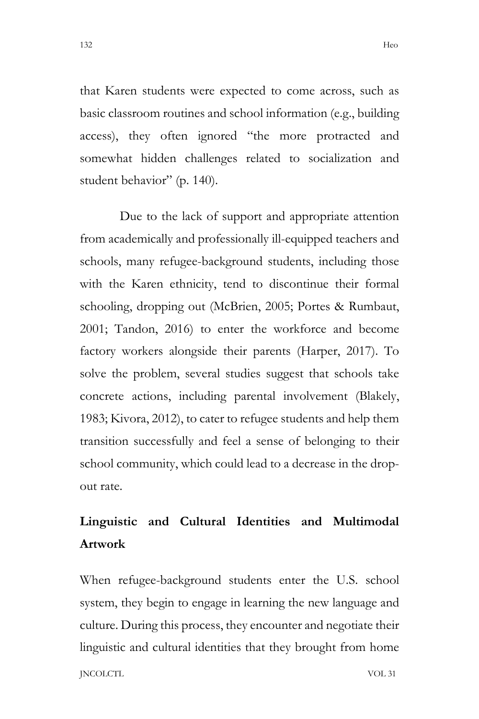that Karen students were expected to come across, such as basic classroom routines and school information (e.g., building access), they often ignored "the more protracted and somewhat hidden challenges related to socialization and student behavior" (p. 140).

Due to the lack of support and appropriate attention from academically and professionally ill-equipped teachers and schools, many refugee-background students, including those with the Karen ethnicity, tend to discontinue their formal schooling, dropping out (McBrien, 2005; Portes & Rumbaut, 2001; Tandon, 2016) to enter the workforce and become factory workers alongside their parents (Harper, 2017). To solve the problem, several studies suggest that schools take concrete actions, including parental involvement (Blakely, 1983; Kivora, 2012), to cater to refugee students and help them transition successfully and feel a sense of belonging to their school community, which could lead to a decrease in the dropout rate.

# **Linguistic and Cultural Identities and Multimodal Artwork**

JNCOLCTL VOL 31 When refugee-background students enter the U.S. school system, they begin to engage in learning the new language and culture. During this process, they encounter and negotiate their linguistic and cultural identities that they brought from home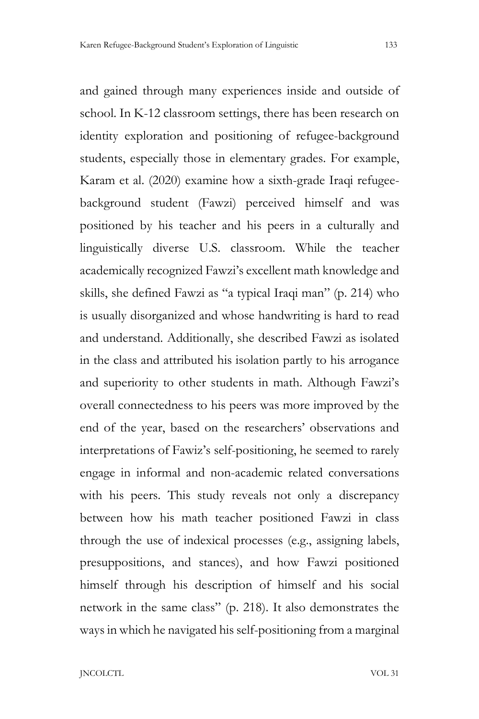and gained through many experiences inside and outside of school. In K-12 classroom settings, there has been research on identity exploration and positioning of refugee-background students, especially those in elementary grades. For example, Karam et al. (2020) examine how a sixth-grade Iraqi refugeebackground student (Fawzi) perceived himself and was positioned by his teacher and his peers in a culturally and linguistically diverse U.S. classroom. While the teacher academically recognized Fawzi's excellent math knowledge and skills, she defined Fawzi as "a typical Iraqi man" (p. 214) who is usually disorganized and whose handwriting is hard to read and understand. Additionally, she described Fawzi as isolated in the class and attributed his isolation partly to his arrogance and superiority to other students in math. Although Fawzi's overall connectedness to his peers was more improved by the end of the year, based on the researchers' observations and interpretations of Fawiz's self-positioning, he seemed to rarely engage in informal and non-academic related conversations with his peers. This study reveals not only a discrepancy between how his math teacher positioned Fawzi in class through the use of indexical processes (e.g., assigning labels, presuppositions, and stances), and how Fawzi positioned himself through his description of himself and his social network in the same class" (p. 218). It also demonstrates the ways in which he navigated his self-positioning from a marginal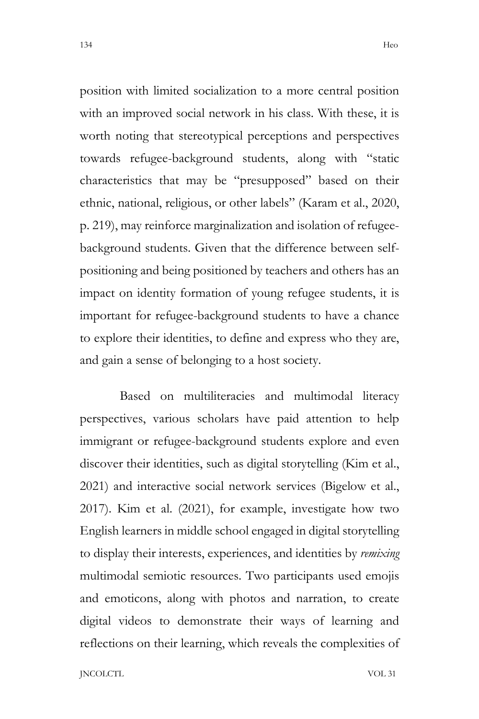position with limited socialization to a more central position with an improved social network in his class. With these, it is worth noting that stereotypical perceptions and perspectives towards refugee-background students, along with "static characteristics that may be "presupposed" based on their ethnic, national, religious, or other labels" (Karam et al., 2020, p. 219), may reinforce marginalization and isolation of refugeebackground students. Given that the difference between selfpositioning and being positioned by teachers and others has an impact on identity formation of young refugee students, it is important for refugee-background students to have a chance to explore their identities, to define and express who they are, and gain a sense of belonging to a host society.

Based on multiliteracies and multimodal literacy perspectives, various scholars have paid attention to help immigrant or refugee-background students explore and even discover their identities, such as digital storytelling (Kim et al., 2021) and interactive social network services (Bigelow et al., 2017). Kim et al. (2021), for example, investigate how two English learners in middle school engaged in digital storytelling to display their interests, experiences, and identities by *remixing* multimodal semiotic resources. Two participants used emojis and emoticons, along with photos and narration, to create digital videos to demonstrate their ways of learning and reflections on their learning, which reveals the complexities of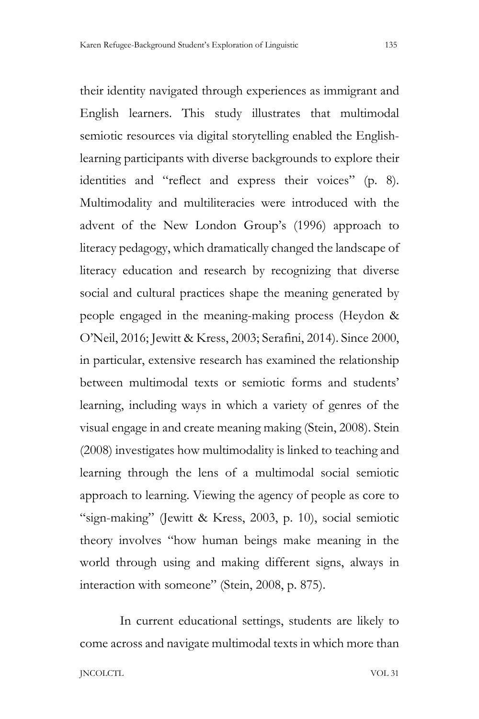their identity navigated through experiences as immigrant and English learners. This study illustrates that multimodal semiotic resources via digital storytelling enabled the Englishlearning participants with diverse backgrounds to explore their identities and "reflect and express their voices" (p. 8). Multimodality and multiliteracies were introduced with the advent of the New London Group's (1996) approach to literacy pedagogy, which dramatically changed the landscape of literacy education and research by recognizing that diverse social and cultural practices shape the meaning generated by people engaged in the meaning-making process (Heydon & O'Neil, 2016; Jewitt & Kress, 2003; Serafini, 2014). Since 2000, in particular, extensive research has examined the relationship between multimodal texts or semiotic forms and students' learning, including ways in which a variety of genres of the visual engage in and create meaning making (Stein, 2008). Stein (2008) investigates how multimodality is linked to teaching and learning through the lens of a multimodal social semiotic approach to learning. Viewing the agency of people as core to "sign-making" (Jewitt & Kress, 2003, p. 10), social semiotic theory involves "how human beings make meaning in the world through using and making different signs, always in interaction with someone" (Stein, 2008, p. 875).

In current educational settings, students are likely to come across and navigate multimodal texts in which more than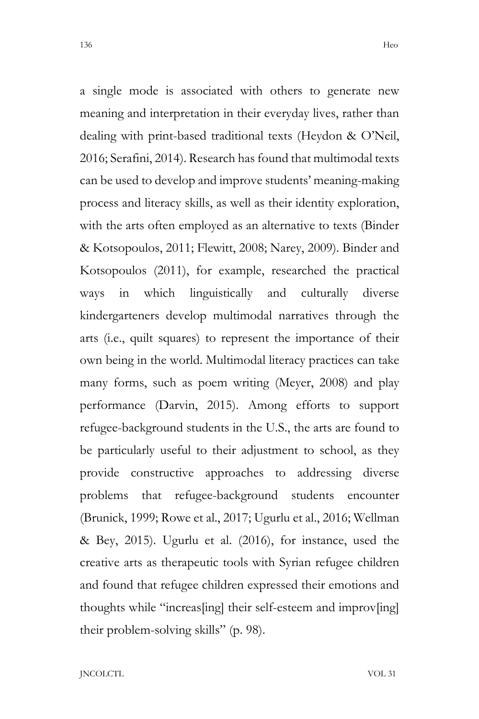a single mode is associated with others to generate new meaning and interpretation in their everyday lives, rather than dealing with print-based traditional texts (Heydon & O'Neil, 2016; Serafini, 2014). Research has found that multimodal texts can be used to develop and improve students' meaning-making process and literacy skills, as well as their identity exploration, with the arts often employed as an alternative to texts (Binder & Kotsopoulos, 2011; Flewitt, 2008; Narey, 2009). Binder and Kotsopoulos (2011), for example, researched the practical ways in which linguistically and culturally diverse kindergarteners develop multimodal narratives through the arts (i.e., quilt squares) to represent the importance of their own being in the world. Multimodal literacy practices can take many forms, such as poem writing (Meyer, 2008) and play performance (Darvin, 2015). Among efforts to support refugee-background students in the U.S., the arts are found to be particularly useful to their adjustment to school, as they provide constructive approaches to addressing diverse problems that refugee-background students encounter (Brunick, 1999; Rowe et al., 2017; Ugurlu et al., 2016; Wellman & Bey, 2015). Ugurlu et al. (2016), for instance, used the creative arts as therapeutic tools with Syrian refugee children and found that refugee children expressed their emotions and thoughts while "increas[ing] their self-esteem and improv[ing] their problem-solving skills" (p. 98).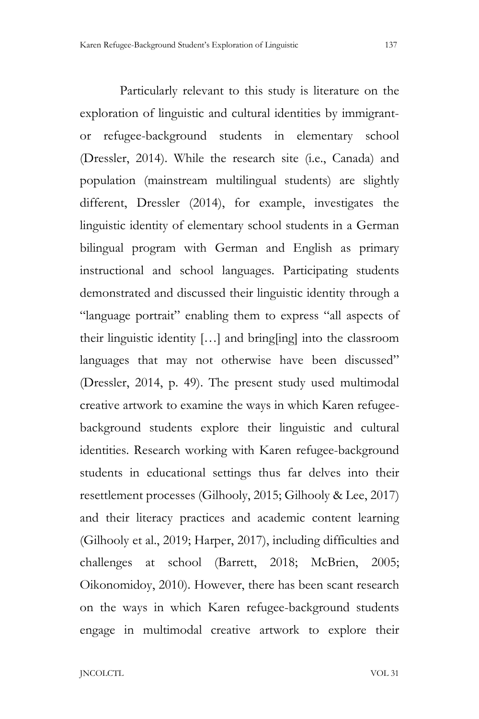Particularly relevant to this study is literature on the exploration of linguistic and cultural identities by immigrantor refugee-background students in elementary school (Dressler, 2014). While the research site (i.e., Canada) and population (mainstream multilingual students) are slightly different, Dressler (2014), for example, investigates the linguistic identity of elementary school students in a German bilingual program with German and English as primary instructional and school languages. Participating students demonstrated and discussed their linguistic identity through a "language portrait" enabling them to express "all aspects of their linguistic identity […] and bring[ing] into the classroom languages that may not otherwise have been discussed" (Dressler, 2014, p. 49). The present study used multimodal creative artwork to examine the ways in which Karen refugeebackground students explore their linguistic and cultural identities. Research working with Karen refugee-background students in educational settings thus far delves into their resettlement processes (Gilhooly, 2015; Gilhooly & Lee, 2017) and their literacy practices and academic content learning (Gilhooly et al., 2019; Harper, 2017), including difficulties and challenges at school (Barrett, 2018; McBrien, 2005; Oikonomidoy, 2010). However, there has been scant research on the ways in which Karen refugee-background students

engage in multimodal creative artwork to explore their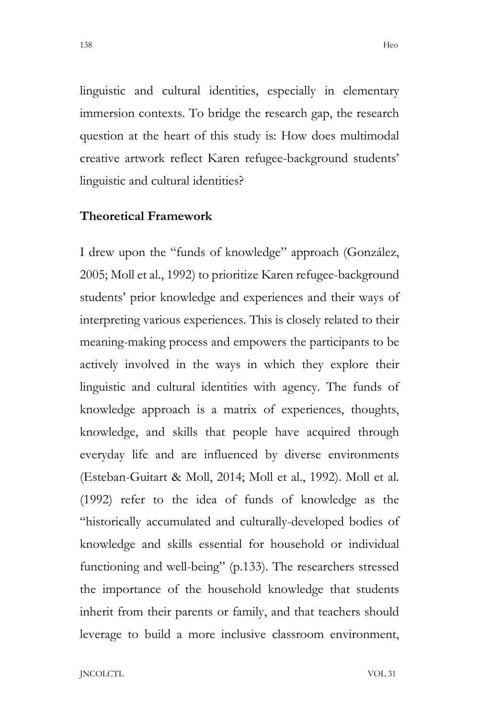linguistic and cultural identities, especially in elementary immersion contexts. To bridge the research gap, the research question at the heart of this study is: How does multimodal creative artwork reflect Karen refugee-background students' linguistic and cultural identities?

# **Theoretical Framework**

I drew upon the "funds of knowledge" approach (González, 2005; Moll et al., 1992) to prioritize Karen refugee-background students' prior knowledge and experiences and their ways of interpreting various experiences. This is closely related to their meaning-making process and empowers the participants to be actively involved in the ways in which they explore their linguistic and cultural identities with agency. The funds of knowledge approach is a matrix of experiences, thoughts, knowledge, and skills that people have acquired through everyday life and are influenced by diverse environments (Esteban-Guitart & Moll, 2014; Moll et al., 1992). Moll et al. (1992) refer to the idea of funds of knowledge as the "historically accumulated and culturally-developed bodies of knowledge and skills essential for household or individual functioning and well-being" (p.133). The researchers stressed the importance of the household knowledge that students inherit from their parents or family, and that teachers should leverage to build a more inclusive classroom environment,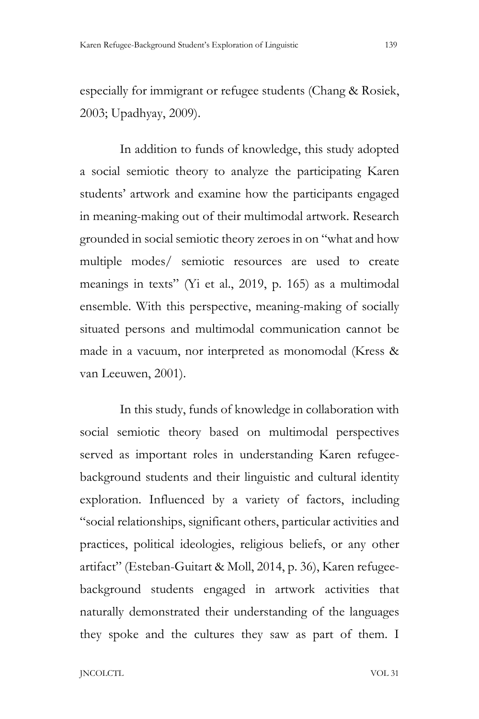especially for immigrant or refugee students (Chang & Rosiek, 2003; Upadhyay, 2009).

In addition to funds of knowledge, this study adopted a social semiotic theory to analyze the participating Karen students' artwork and examine how the participants engaged in meaning-making out of their multimodal artwork. Research grounded in social semiotic theory zeroes in on "what and how multiple modes/ semiotic resources are used to create meanings in texts" (Yi et al., 2019, p. 165) as a multimodal ensemble. With this perspective, meaning-making of socially situated persons and multimodal communication cannot be made in a vacuum, nor interpreted as monomodal (Kress & van Leeuwen, 2001).

In this study, funds of knowledge in collaboration with social semiotic theory based on multimodal perspectives served as important roles in understanding Karen refugeebackground students and their linguistic and cultural identity exploration. Influenced by a variety of factors, including "social relationships, significant others, particular activities and practices, political ideologies, religious beliefs, or any other artifact" (Esteban-Guitart & Moll, 2014, p. 36), Karen refugeebackground students engaged in artwork activities that naturally demonstrated their understanding of the languages they spoke and the cultures they saw as part of them. I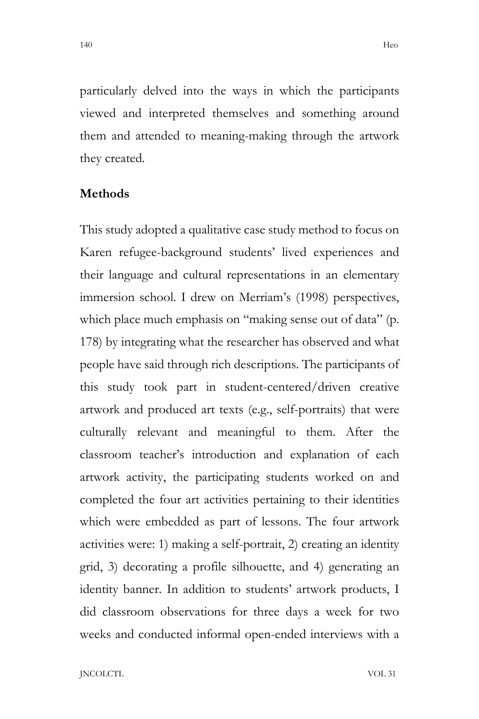particularly delved into the ways in which the participants viewed and interpreted themselves and something around them and attended to meaning-making through the artwork they created.

#### **Methods**

This study adopted a qualitative case study method to focus on Karen refugee-background students' lived experiences and their language and cultural representations in an elementary immersion school. I drew on Merriam's (1998) perspectives, which place much emphasis on "making sense out of data" (p. 178) by integrating what the researcher has observed and what people have said through rich descriptions. The participants of this study took part in student-centered/driven creative artwork and produced art texts (e.g., self-portraits) that were culturally relevant and meaningful to them. After the classroom teacher's introduction and explanation of each artwork activity, the participating students worked on and completed the four art activities pertaining to their identities which were embedded as part of lessons. The four artwork activities were: 1) making a self-portrait, 2) creating an identity grid, 3) decorating a profile silhouette, and 4) generating an identity banner. In addition to students' artwork products, I did classroom observations for three days a week for two weeks and conducted informal open-ended interviews with a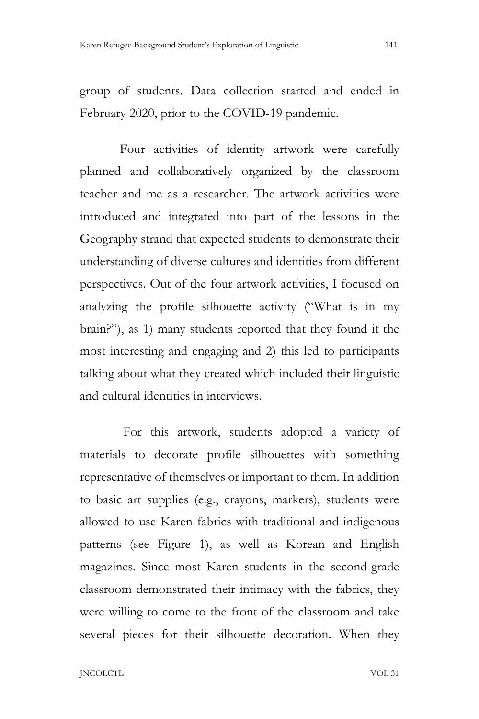group of students. Data collection started and ended in February 2020, prior to the COVID-19 pandemic.

Four activities of identity artwork were carefully planned and collaboratively organized by the classroom teacher and me as a researcher. The artwork activities were introduced and integrated into part of the lessons in the Geography strand that expected students to demonstrate their understanding of diverse cultures and identities from different perspectives. Out of the four artwork activities, I focused on analyzing the profile silhouette activity ("What is in my brain?"), as 1) many students reported that they found it the most interesting and engaging and 2) this led to participants talking about what they created which included their linguistic and cultural identities in interviews.

For this artwork, students adopted a variety of materials to decorate profile silhouettes with something representative of themselves or important to them. In addition to basic art supplies (e.g., crayons, markers), students were allowed to use Karen fabrics with traditional and indigenous patterns (see Figure 1), as well as Korean and English magazines. Since most Karen students in the second-grade classroom demonstrated their intimacy with the fabrics, they were willing to come to the front of the classroom and take several pieces for their silhouette decoration. When they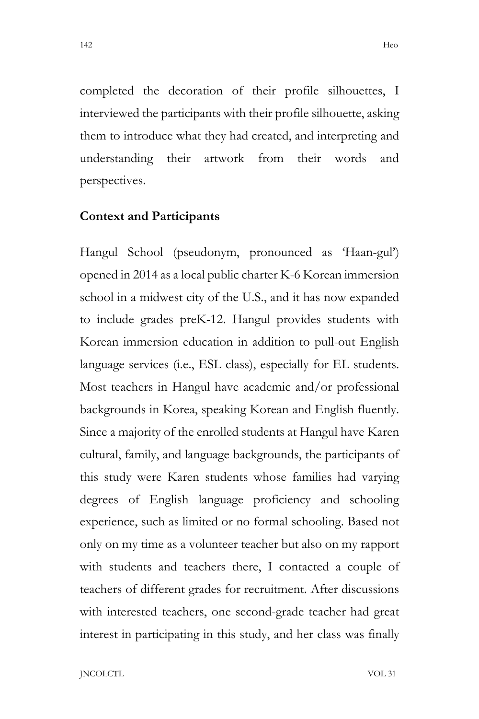completed the decoration of their profile silhouettes, I interviewed the participants with their profile silhouette, asking them to introduce what they had created, and interpreting and understanding their artwork from their words and perspectives.

#### **Context and Participants**

Hangul School (pseudonym, pronounced as 'Haan-gul') opened in 2014 as a local public charter K-6 Korean immersion school in a midwest city of the U.S., and it has now expanded to include grades preK-12. Hangul provides students with Korean immersion education in addition to pull-out English language services (i.e., ESL class), especially for EL students. Most teachers in Hangul have academic and/or professional backgrounds in Korea, speaking Korean and English fluently. Since a majority of the enrolled students at Hangul have Karen cultural, family, and language backgrounds, the participants of this study were Karen students whose families had varying degrees of English language proficiency and schooling experience, such as limited or no formal schooling. Based not only on my time as a volunteer teacher but also on my rapport with students and teachers there, I contacted a couple of teachers of different grades for recruitment. After discussions with interested teachers, one second-grade teacher had great interest in participating in this study, and her class was finally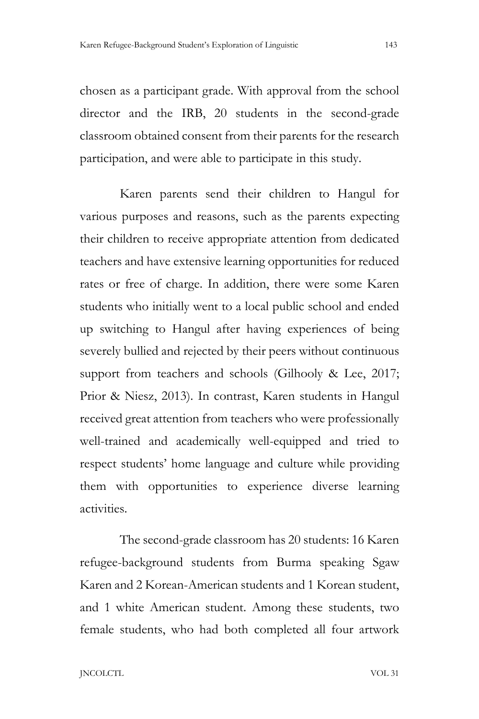chosen as a participant grade. With approval from the school director and the IRB, 20 students in the second-grade classroom obtained consent from their parents for the research participation, and were able to participate in this study.

Karen parents send their children to Hangul for various purposes and reasons, such as the parents expecting their children to receive appropriate attention from dedicated teachers and have extensive learning opportunities for reduced rates or free of charge. In addition, there were some Karen students who initially went to a local public school and ended up switching to Hangul after having experiences of being severely bullied and rejected by their peers without continuous support from teachers and schools (Gilhooly & Lee, 2017; Prior & Niesz, 2013). In contrast, Karen students in Hangul received great attention from teachers who were professionally well-trained and academically well-equipped and tried to respect students' home language and culture while providing them with opportunities to experience diverse learning activities.

The second-grade classroom has 20 students: 16 Karen refugee-background students from Burma speaking Sgaw Karen and 2 Korean-American students and 1 Korean student, and 1 white American student. Among these students, two female students, who had both completed all four artwork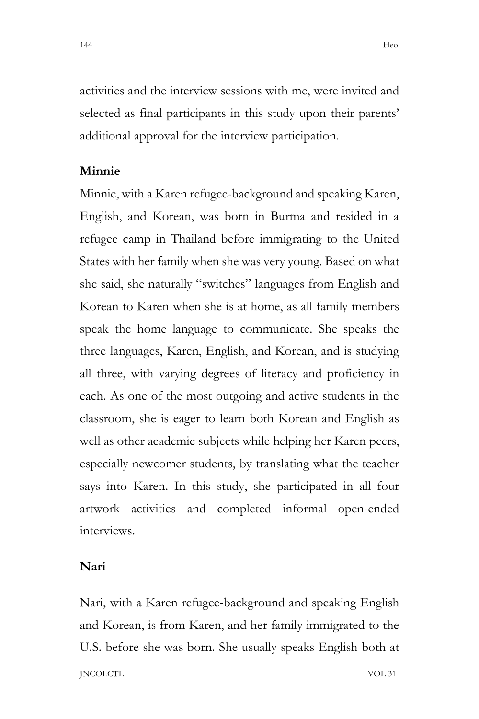activities and the interview sessions with me, were invited and selected as final participants in this study upon their parents' additional approval for the interview participation.

### **Minnie**

Minnie, with a Karen refugee-background and speaking Karen, English, and Korean, was born in Burma and resided in a refugee camp in Thailand before immigrating to the United States with her family when she was very young. Based on what she said, she naturally "switches" languages from English and Korean to Karen when she is at home, as all family members speak the home language to communicate. She speaks the three languages, Karen, English, and Korean, and is studying all three, with varying degrees of literacy and proficiency in each. As one of the most outgoing and active students in the classroom, she is eager to learn both Korean and English as well as other academic subjects while helping her Karen peers, especially newcomer students, by translating what the teacher says into Karen. In this study, she participated in all four artwork activities and completed informal open-ended interviews.

## **Nari**

JNCOLCTL VOL 31 Nari, with a Karen refugee-background and speaking English and Korean, is from Karen, and her family immigrated to the U.S. before she was born. She usually speaks English both at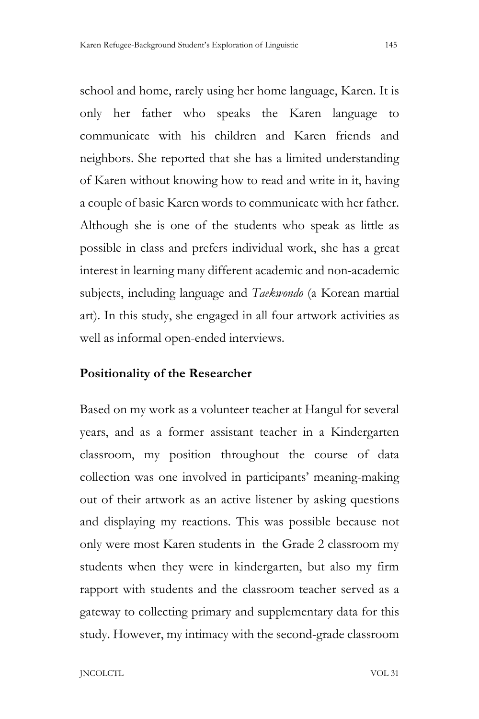school and home, rarely using her home language, Karen. It is only her father who speaks the Karen language to communicate with his children and Karen friends and neighbors. She reported that she has a limited understanding of Karen without knowing how to read and write in it, having a couple of basic Karen words to communicate with her father. Although she is one of the students who speak as little as possible in class and prefers individual work, she has a great interest in learning many different academic and non-academic subjects, including language and *Taekwondo* (a Korean martial art). In this study, she engaged in all four artwork activities as well as informal open-ended interviews.

# **Positionality of the Researcher**

Based on my work as a volunteer teacher at Hangul for several years, and as a former assistant teacher in a Kindergarten classroom, my position throughout the course of data collection was one involved in participants' meaning-making out of their artwork as an active listener by asking questions and displaying my reactions. This was possible because not only were most Karen students in the Grade 2 classroom my students when they were in kindergarten, but also my firm rapport with students and the classroom teacher served as a gateway to collecting primary and supplementary data for this study. However, my intimacy with the second-grade classroom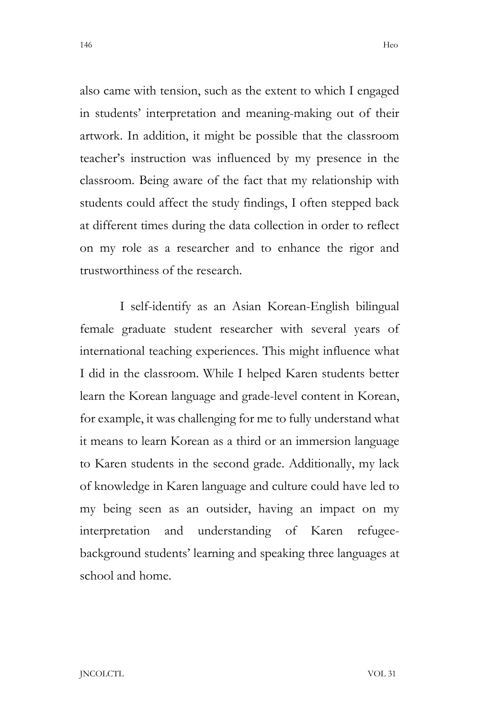also came with tension, such as the extent to which I engaged in students' interpretation and meaning-making out of their artwork. In addition, it might be possible that the classroom teacher's instruction was influenced by my presence in the classroom. Being aware of the fact that my relationship with students could affect the study findings, I often stepped back at different times during the data collection in order to reflect on my role as a researcher and to enhance the rigor and trustworthiness of the research.

I self-identify as an Asian Korean-English bilingual female graduate student researcher with several years of international teaching experiences. This might influence what I did in the classroom. While I helped Karen students better learn the Korean language and grade-level content in Korean, for example, it was challenging for me to fully understand what it means to learn Korean as a third or an immersion language to Karen students in the second grade. Additionally, my lack of knowledge in Karen language and culture could have led to my being seen as an outsider, having an impact on my interpretation and understanding of Karen refugeebackground students' learning and speaking three languages at school and home.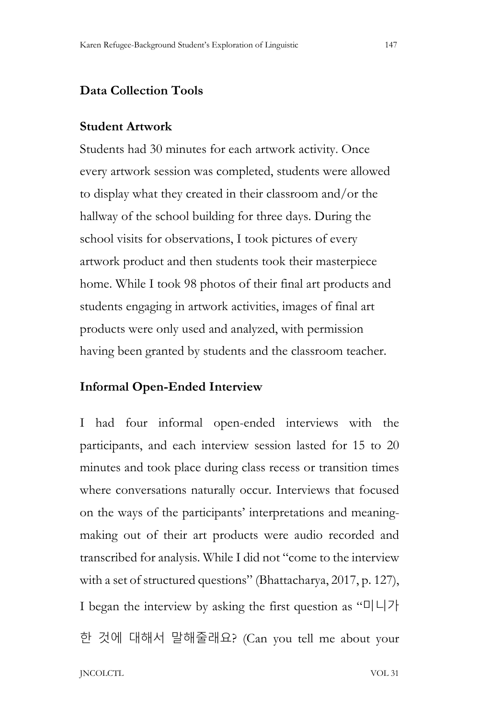## **Data Collection Tools**

#### **Student Artwork**

Students had 30 minutes for each artwork activity. Once every artwork session was completed, students were allowed to display what they created in their classroom and/or the hallway of the school building for three days. During the school visits for observations, I took pictures of every artwork product and then students took their masterpiece home. While I took 98 photos of their final art products and students engaging in artwork activities, images of final art products were only used and analyzed, with permission having been granted by students and the classroom teacher.

#### **Informal Open-Ended Interview**

I had four informal open-ended interviews with the participants, and each interview session lasted for 15 to 20 minutes and took place during class recess or transition times where conversations naturally occur. Interviews that focused on the ways of the participants' interpretations and meaningmaking out of their art products were audio recorded and transcribed for analysis. While I did not "come to the interview with a set of structured questions" (Bhattacharya, 2017, p. 127), I began the interview by asking the first question as "미니가 한 것에 대해서 말해줄래요? (Can you tell me about your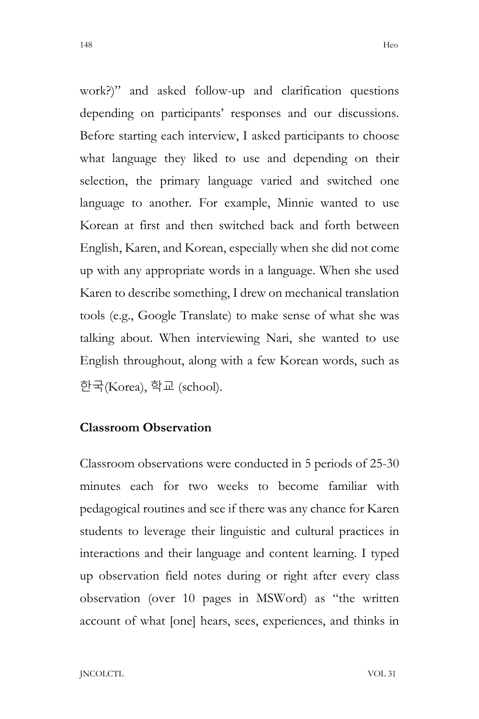work?)" and asked follow-up and clarification questions depending on participants' responses and our discussions. Before starting each interview, I asked participants to choose what language they liked to use and depending on their selection, the primary language varied and switched one language to another. For example, Minnie wanted to use Korean at first and then switched back and forth between English, Karen, and Korean, especially when she did not come up with any appropriate words in a language. When she used Karen to describe something, I drew on mechanical translation tools (e.g., Google Translate) to make sense of what she was talking about. When interviewing Nari, she wanted to use English throughout, along with a few Korean words, such as 한국(Korea), 학교 (school).

# **Classroom Observation**

Classroom observations were conducted in 5 periods of 25-30 minutes each for two weeks to become familiar with pedagogical routines and see if there was any chance for Karen students to leverage their linguistic and cultural practices in interactions and their language and content learning. I typed up observation field notes during or right after every class observation (over 10 pages in MSWord) as "the written account of what [one] hears, sees, experiences, and thinks in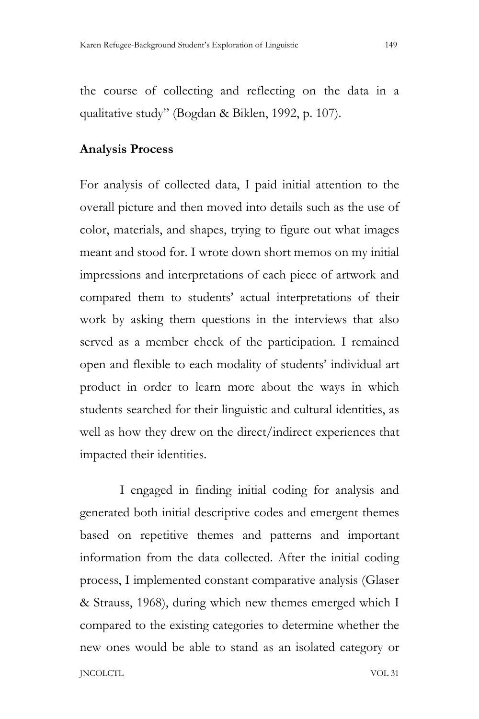the course of collecting and reflecting on the data in a qualitative study" (Bogdan & Biklen, 1992, p. 107).

#### **Analysis Process**

For analysis of collected data, I paid initial attention to the overall picture and then moved into details such as the use of color, materials, and shapes, trying to figure out what images meant and stood for. I wrote down short memos on my initial impressions and interpretations of each piece of artwork and compared them to students' actual interpretations of their work by asking them questions in the interviews that also served as a member check of the participation. I remained open and flexible to each modality of students' individual art product in order to learn more about the ways in which students searched for their linguistic and cultural identities, as well as how they drew on the direct/indirect experiences that impacted their identities.

JNCOLCTL VOL 31 I engaged in finding initial coding for analysis and generated both initial descriptive codes and emergent themes based on repetitive themes and patterns and important information from the data collected. After the initial coding process, I implemented constant comparative analysis (Glaser & Strauss, 1968), during which new themes emerged which I compared to the existing categories to determine whether the new ones would be able to stand as an isolated category or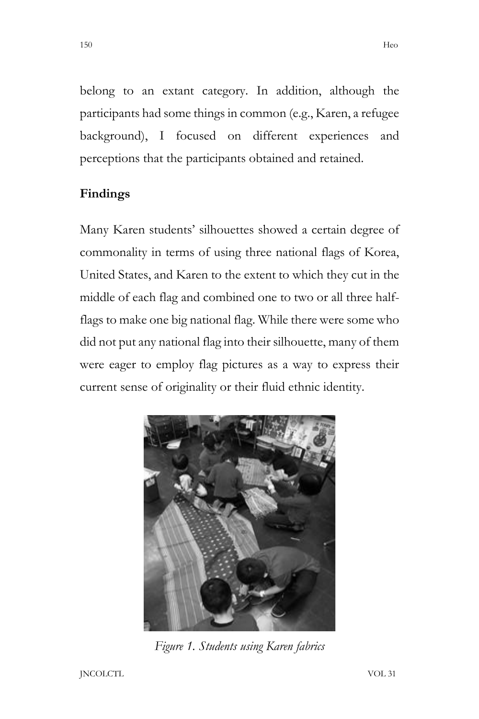belong to an extant category. In addition, although the participants had some things in common (e.g., Karen, a refugee background), I focused on different experiences and perceptions that the participants obtained and retained.

# **Findings**

Many Karen students' silhouettes showed a certain degree of commonality in terms of using three national flags of Korea, United States, and Karen to the extent to which they cut in the middle of each flag and combined one to two or all three halfflags to make one big national flag. While there were some who did not put any national flag into their silhouette, many of them were eager to employ flag pictures as a way to express their current sense of originality or their fluid ethnic identity.



*Figure 1. Students using Karen fabrics*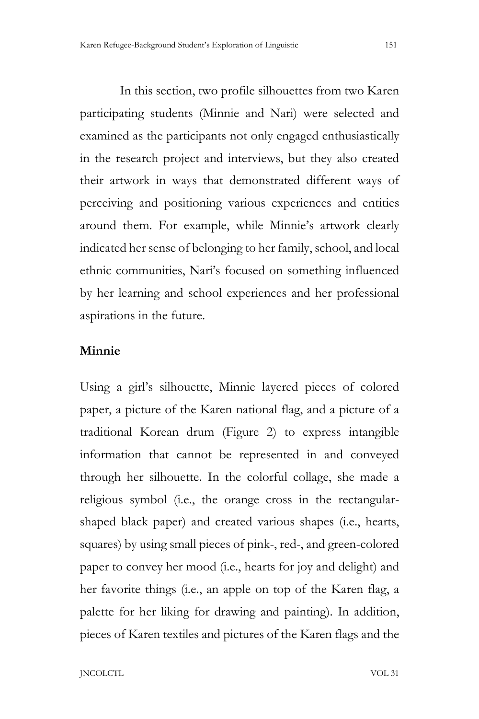In this section, two profile silhouettes from two Karen participating students (Minnie and Nari) were selected and examined as the participants not only engaged enthusiastically in the research project and interviews, but they also created their artwork in ways that demonstrated different ways of perceiving and positioning various experiences and entities around them. For example, while Minnie's artwork clearly indicated her sense of belonging to her family, school, and local ethnic communities, Nari's focused on something influenced by her learning and school experiences and her professional aspirations in the future.

#### **Minnie**

Using a girl's silhouette, Minnie layered pieces of colored paper, a picture of the Karen national flag, and a picture of a traditional Korean drum (Figure 2) to express intangible information that cannot be represented in and conveyed through her silhouette. In the colorful collage, she made a religious symbol (i.e., the orange cross in the rectangularshaped black paper) and created various shapes (i.e., hearts, squares) by using small pieces of pink-, red-, and green-colored paper to convey her mood (i.e., hearts for joy and delight) and her favorite things (i.e., an apple on top of the Karen flag, a palette for her liking for drawing and painting). In addition, pieces of Karen textiles and pictures of the Karen flags and the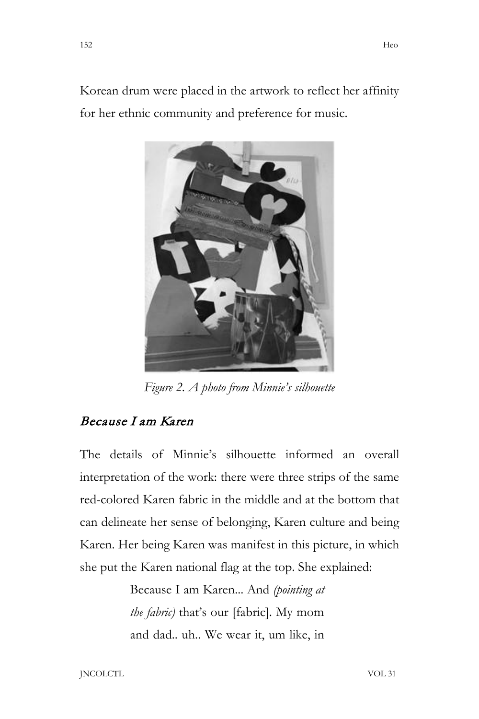Korean drum were placed in the artwork to reflect her affinity for her ethnic community and preference for music.



*Figure 2. A photo from Minnie's silhouette*

# Because I am Karen

The details of Minnie's silhouette informed an overall interpretation of the work: there were three strips of the same red-colored Karen fabric in the middle and at the bottom that can delineate her sense of belonging, Karen culture and being Karen. Her being Karen was manifest in this picture, in which she put the Karen national flag at the top. She explained:

> Because I am Karen... And *(pointing at the fabric)* that's our [fabric]. My mom and dad.. uh.. We wear it, um like, in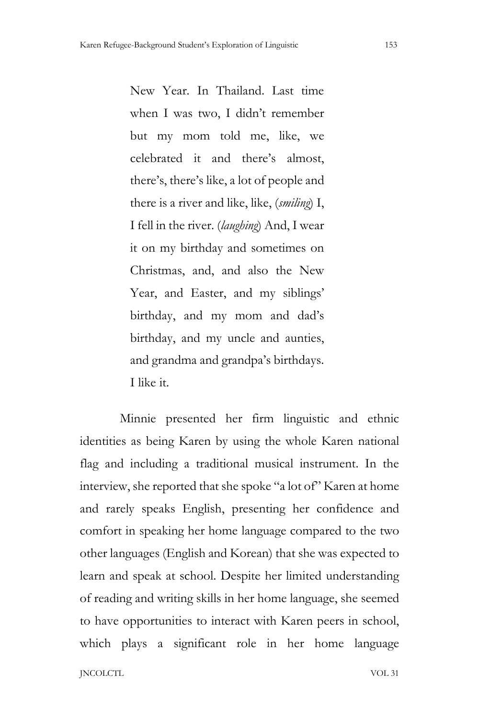New Year. In Thailand. Last time when I was two, I didn't remember but my mom told me, like, we celebrated it and there's almost, there's, there's like, a lot of people and there is a river and like, like, (*smiling*) I, I fell in the river. (*laughing*) And, I wear it on my birthday and sometimes on Christmas, and, and also the New Year, and Easter, and my siblings' birthday, and my mom and dad's birthday, and my uncle and aunties, and grandma and grandpa's birthdays. I like it.

Minnie presented her firm linguistic and ethnic identities as being Karen by using the whole Karen national flag and including a traditional musical instrument. In the interview, she reported that she spoke "a lot of" Karen at home and rarely speaks English, presenting her confidence and comfort in speaking her home language compared to the two other languages (English and Korean) that she was expected to learn and speak at school. Despite her limited understanding of reading and writing skills in her home language, she seemed to have opportunities to interact with Karen peers in school, which plays a significant role in her home language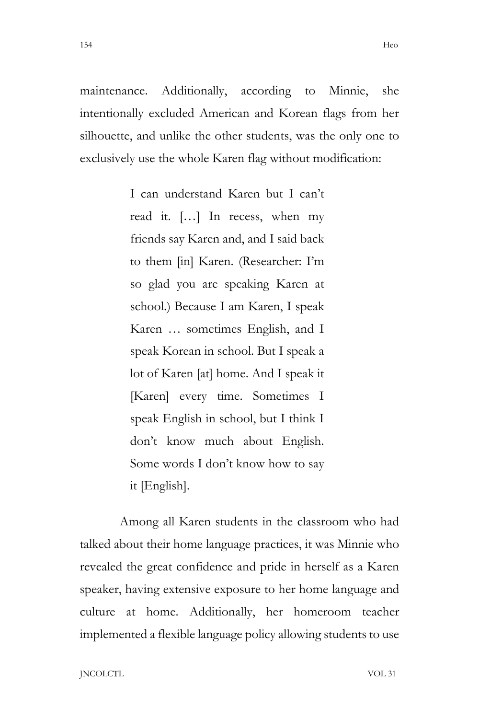maintenance. Additionally, according to Minnie, she intentionally excluded American and Korean flags from her silhouette, and unlike the other students, was the only one to exclusively use the whole Karen flag without modification:

> I can understand Karen but I can't read it. […] In recess, when my friends say Karen and, and I said back to them [in] Karen. (Researcher: I'm so glad you are speaking Karen at school.) Because I am Karen, I speak Karen … sometimes English, and I speak Korean in school. But I speak a lot of Karen [at] home. And I speak it [Karen] every time. Sometimes I speak English in school, but I think I don't know much about English. Some words I don't know how to say it [English].

Among all Karen students in the classroom who had talked about their home language practices, it was Minnie who revealed the great confidence and pride in herself as a Karen speaker, having extensive exposure to her home language and culture at home. Additionally, her homeroom teacher implemented a flexible language policy allowing students to use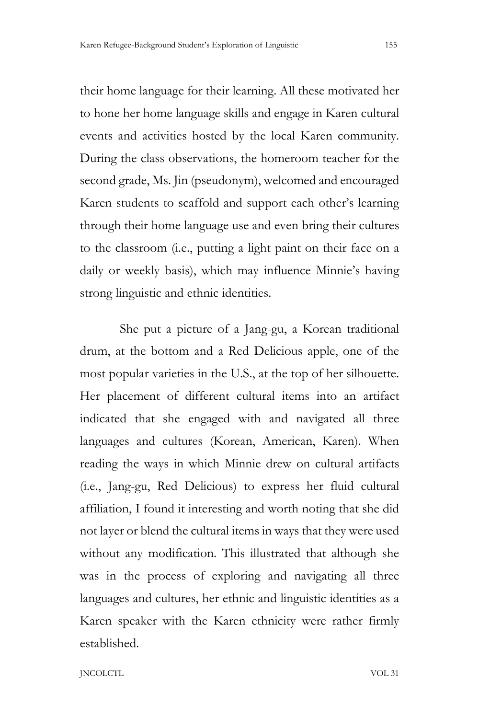their home language for their learning. All these motivated her to hone her home language skills and engage in Karen cultural events and activities hosted by the local Karen community. During the class observations, the homeroom teacher for the second grade, Ms. Jin (pseudonym), welcomed and encouraged Karen students to scaffold and support each other's learning through their home language use and even bring their cultures to the classroom (i.e., putting a light paint on their face on a daily or weekly basis), which may influence Minnie's having strong linguistic and ethnic identities.

She put a picture of a Jang-gu, a Korean traditional drum, at the bottom and a Red Delicious apple, one of the most popular varieties in the U.S., at the top of her silhouette. Her placement of different cultural items into an artifact indicated that she engaged with and navigated all three languages and cultures (Korean, American, Karen). When reading the ways in which Minnie drew on cultural artifacts (i.e., Jang-gu, Red Delicious) to express her fluid cultural affiliation, I found it interesting and worth noting that she did not layer or blend the cultural items in ways that they were used without any modification. This illustrated that although she was in the process of exploring and navigating all three languages and cultures, her ethnic and linguistic identities as a Karen speaker with the Karen ethnicity were rather firmly established.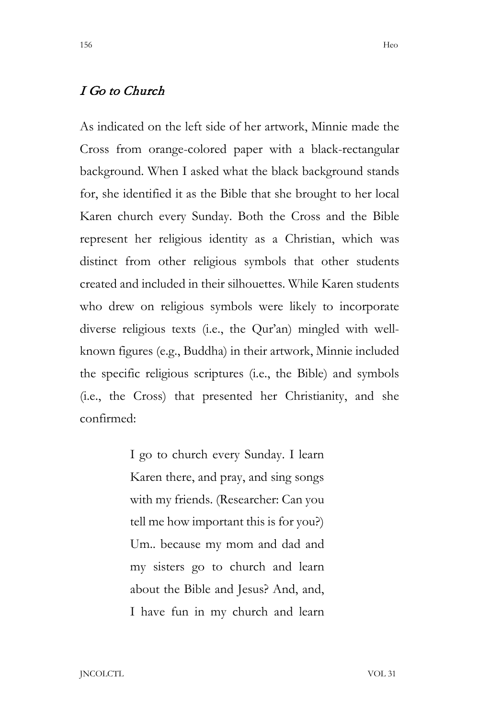# I Go to Church

As indicated on the left side of her artwork, Minnie made the Cross from orange-colored paper with a black-rectangular background. When I asked what the black background stands for, she identified it as the Bible that she brought to her local Karen church every Sunday. Both the Cross and the Bible represent her religious identity as a Christian, which was distinct from other religious symbols that other students created and included in their silhouettes. While Karen students who drew on religious symbols were likely to incorporate diverse religious texts (i.e., the Qur'an) mingled with wellknown figures (e.g., Buddha) in their artwork, Minnie included the specific religious scriptures (i.e., the Bible) and symbols (i.e., the Cross) that presented her Christianity, and she confirmed:

> I go to church every Sunday. I learn Karen there, and pray, and sing songs with my friends. (Researcher: Can you tell me how important this is for you?) Um.. because my mom and dad and my sisters go to church and learn about the Bible and Jesus? And, and, I have fun in my church and learn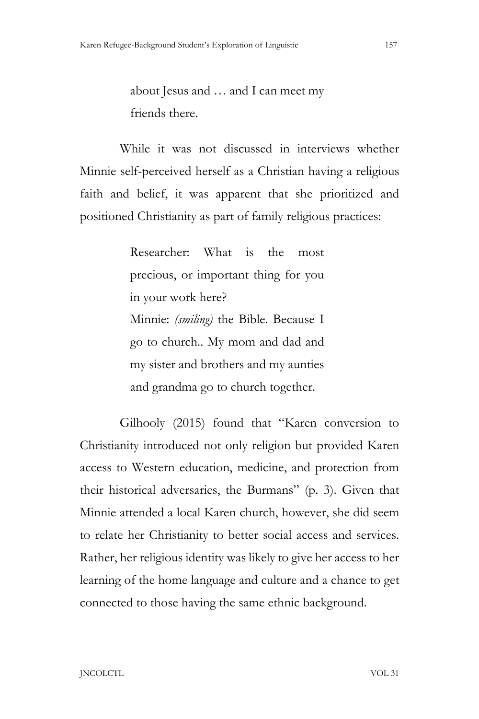about Jesus and … and I can meet my friends there.

While it was not discussed in interviews whether Minnie self-perceived herself as a Christian having a religious faith and belief, it was apparent that she prioritized and positioned Christianity as part of family religious practices:

> Researcher: What is the most precious, or important thing for you in your work here? Minnie: *(smiling)* the Bible. Because I go to church.. My mom and dad and my sister and brothers and my aunties and grandma go to church together.

Gilhooly (2015) found that "Karen conversion to Christianity introduced not only religion but provided Karen access to Western education, medicine, and protection from their historical adversaries, the Burmans" (p. 3). Given that Minnie attended a local Karen church, however, she did seem to relate her Christianity to better social access and services. Rather, her religious identity was likely to give her access to her learning of the home language and culture and a chance to get connected to those having the same ethnic background.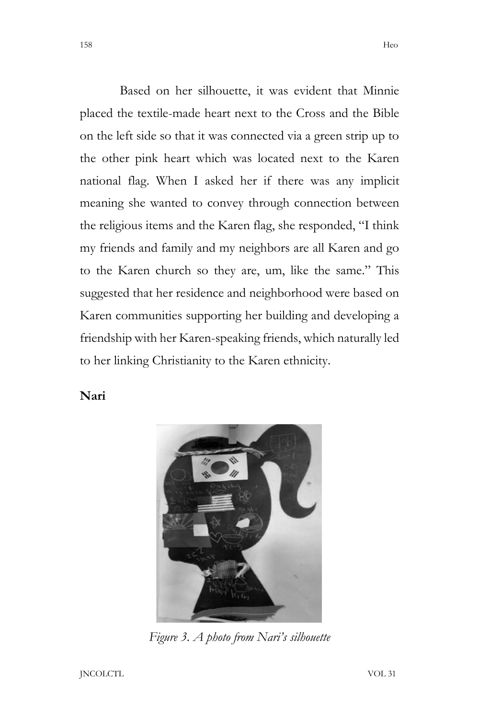Based on her silhouette, it was evident that Minnie placed the textile-made heart next to the Cross and the Bible on the left side so that it was connected via a green strip up to the other pink heart which was located next to the Karen national flag. When I asked her if there was any implicit meaning she wanted to convey through connection between the religious items and the Karen flag, she responded, "I think my friends and family and my neighbors are all Karen and go to the Karen church so they are, um, like the same." This suggested that her residence and neighborhood were based on Karen communities supporting her building and developing a friendship with her Karen-speaking friends, which naturally led to her linking Christianity to the Karen ethnicity.

## **Nari**



*Figure 3. A photo from Nari's silhouette*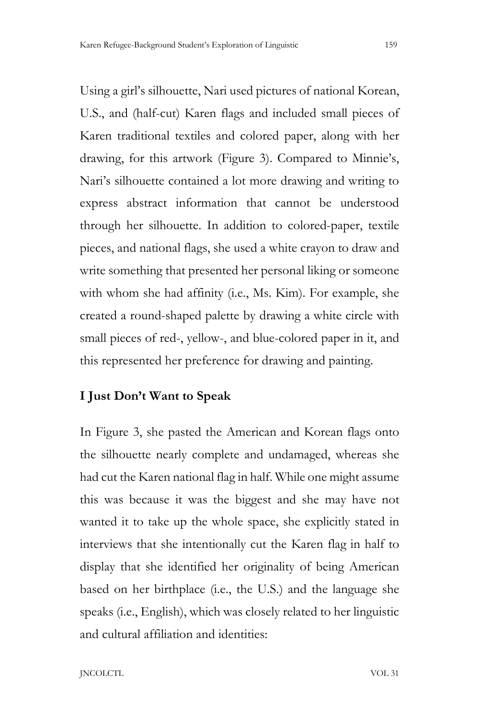Using a girl's silhouette, Nari used pictures of national Korean, U.S., and (half-cut) Karen flags and included small pieces of Karen traditional textiles and colored paper, along with her drawing, for this artwork (Figure 3). Compared to Minnie's, Nari's silhouette contained a lot more drawing and writing to express abstract information that cannot be understood through her silhouette. In addition to colored-paper, textile pieces, and national flags, she used a white crayon to draw and write something that presented her personal liking or someone with whom she had affinity (i.e., Ms. Kim). For example, she created a round-shaped palette by drawing a white circle with small pieces of red-, yellow-, and blue-colored paper in it, and this represented her preference for drawing and painting.

## **I Just Don't Want to Speak**

In Figure 3, she pasted the American and Korean flags onto the silhouette nearly complete and undamaged, whereas she had cut the Karen national flag in half. While one might assume this was because it was the biggest and she may have not wanted it to take up the whole space, she explicitly stated in interviews that she intentionally cut the Karen flag in half to display that she identified her originality of being American based on her birthplace (i.e., the U.S.) and the language she speaks (i.e., English), which was closely related to her linguistic and cultural affiliation and identities: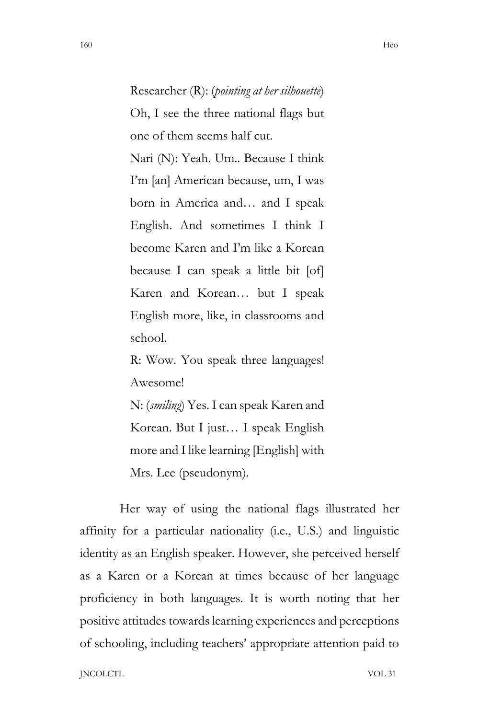Researcher (R): (*pointing at her silhouette*) Oh, I see the three national flags but one of them seems half cut.

Nari (N): Yeah. Um.. Because I think I'm [an] American because, um, I was born in America and… and I speak English. And sometimes I think I become Karen and I'm like a Korean because I can speak a little bit [of] Karen and Korean… but I speak English more, like, in classrooms and school.

R: Wow. You speak three languages! Awesome!

N: (*smiling*) Yes. I can speak Karen and Korean. But I just… I speak English more and I like learning [English] with Mrs. Lee (pseudonym).

Her way of using the national flags illustrated her affinity for a particular nationality (i.e., U.S.) and linguistic identity as an English speaker. However, she perceived herself as a Karen or a Korean at times because of her language proficiency in both languages. It is worth noting that her positive attitudes towards learning experiences and perceptions of schooling, including teachers' appropriate attention paid to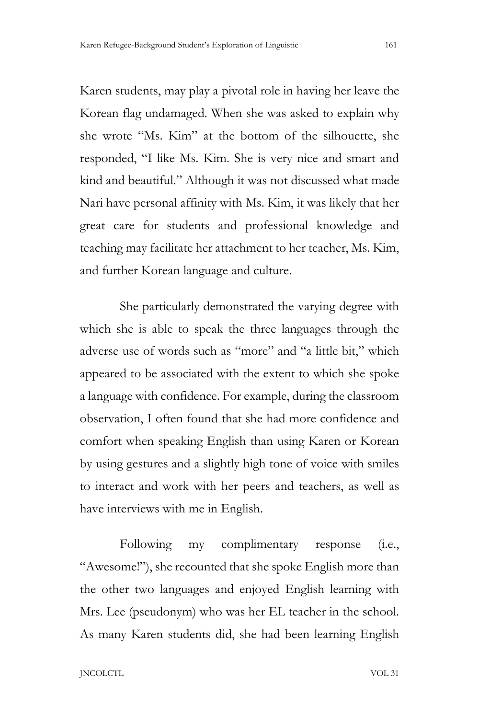Karen students, may play a pivotal role in having her leave the Korean flag undamaged. When she was asked to explain why she wrote "Ms. Kim" at the bottom of the silhouette, she responded, "I like Ms. Kim. She is very nice and smart and kind and beautiful." Although it was not discussed what made Nari have personal affinity with Ms. Kim, it was likely that her great care for students and professional knowledge and teaching may facilitate her attachment to her teacher, Ms. Kim, and further Korean language and culture.

She particularly demonstrated the varying degree with which she is able to speak the three languages through the adverse use of words such as "more" and "a little bit," which appeared to be associated with the extent to which she spoke a language with confidence. For example, during the classroom observation, I often found that she had more confidence and comfort when speaking English than using Karen or Korean by using gestures and a slightly high tone of voice with smiles to interact and work with her peers and teachers, as well as have interviews with me in English.

Following my complimentary response (i.e., "Awesome!"), she recounted that she spoke English more than the other two languages and enjoyed English learning with Mrs. Lee (pseudonym) who was her EL teacher in the school. As many Karen students did, she had been learning English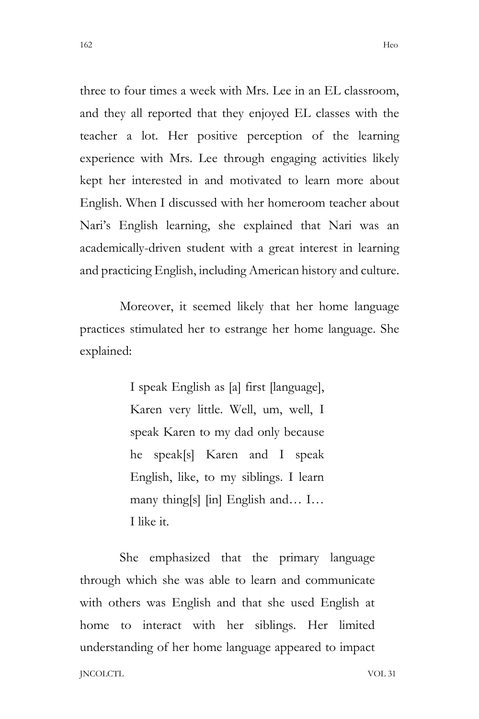three to four times a week with Mrs. Lee in an EL classroom, and they all reported that they enjoyed EL classes with the teacher a lot. Her positive perception of the learning experience with Mrs. Lee through engaging activities likely kept her interested in and motivated to learn more about English. When I discussed with her homeroom teacher about Nari's English learning, she explained that Nari was an academically-driven student with a great interest in learning and practicing English, including American history and culture.

Moreover, it seemed likely that her home language practices stimulated her to estrange her home language. She explained:

> I speak English as [a] first [language], Karen very little. Well, um, well, I speak Karen to my dad only because he speak[s] Karen and I speak English, like, to my siblings. I learn many thing[s] [in] English and… I… I like it.

JNCOLCTL VOL 31 She emphasized that the primary language through which she was able to learn and communicate with others was English and that she used English at home to interact with her siblings. Her limited understanding of her home language appeared to impact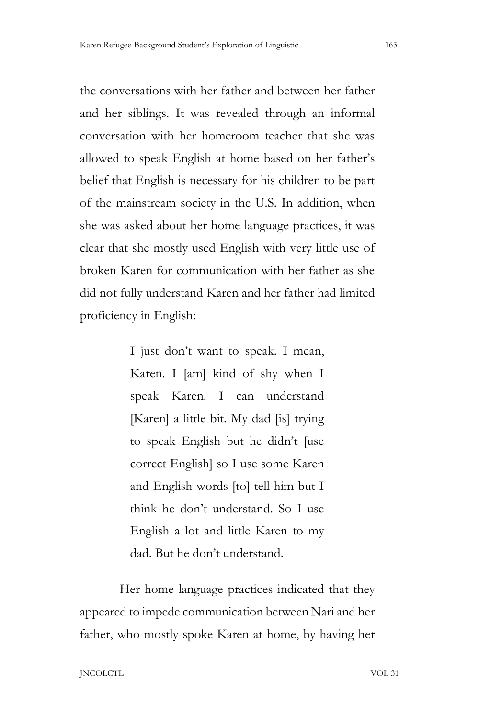the conversations with her father and between her father and her siblings. It was revealed through an informal conversation with her homeroom teacher that she was allowed to speak English at home based on her father's belief that English is necessary for his children to be part of the mainstream society in the U.S. In addition, when she was asked about her home language practices, it was clear that she mostly used English with very little use of broken Karen for communication with her father as she did not fully understand Karen and her father had limited proficiency in English:

> I just don't want to speak. I mean, Karen. I [am] kind of shy when I speak Karen. I can understand [Karen] a little bit. My dad [is] trying to speak English but he didn't [use correct English] so I use some Karen and English words [to] tell him but I think he don't understand. So I use English a lot and little Karen to my dad. But he don't understand.

Her home language practices indicated that they appeared to impede communication between Nari and her father, who mostly spoke Karen at home, by having her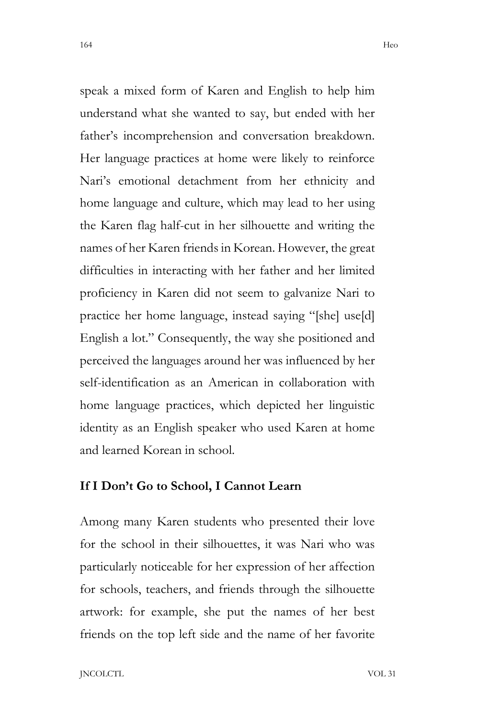speak a mixed form of Karen and English to help him understand what she wanted to say, but ended with her father's incomprehension and conversation breakdown. Her language practices at home were likely to reinforce Nari's emotional detachment from her ethnicity and home language and culture, which may lead to her using the Karen flag half-cut in her silhouette and writing the names of her Karen friends in Korean. However, the great difficulties in interacting with her father and her limited proficiency in Karen did not seem to galvanize Nari to practice her home language, instead saying "[she] use[d] English a lot." Consequently, the way she positioned and perceived the languages around her was influenced by her self-identification as an American in collaboration with home language practices, which depicted her linguistic identity as an English speaker who used Karen at home and learned Korean in school.

# **If I Don't Go to School, I Cannot Learn**

Among many Karen students who presented their love for the school in their silhouettes, it was Nari who was particularly noticeable for her expression of her affection for schools, teachers, and friends through the silhouette artwork: for example, she put the names of her best friends on the top left side and the name of her favorite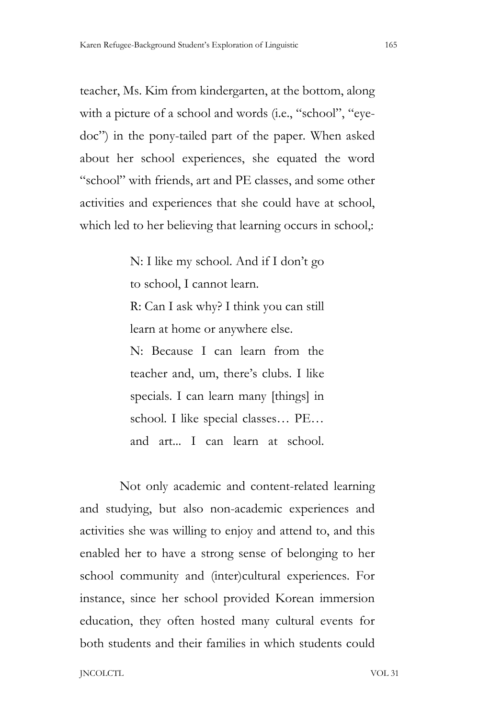teacher, Ms. Kim from kindergarten, at the bottom, along with a picture of a school and words (i.e., "school", "eyedoc") in the pony-tailed part of the paper. When asked about her school experiences, she equated the word "school" with friends, art and PE classes, and some other activities and experiences that she could have at school, which led to her believing that learning occurs in school,:

> N: I like my school. And if I don't go to school, I cannot learn. R: Can I ask why? I think you can still learn at home or anywhere else. N: Because I can learn from the teacher and, um, there's clubs. I like specials. I can learn many [things] in school. I like special classes... PE... and art... I can learn at school.

Not only academic and content-related learning and studying, but also non-academic experiences and activities she was willing to enjoy and attend to, and this enabled her to have a strong sense of belonging to her school community and (inter)cultural experiences. For instance, since her school provided Korean immersion education, they often hosted many cultural events for both students and their families in which students could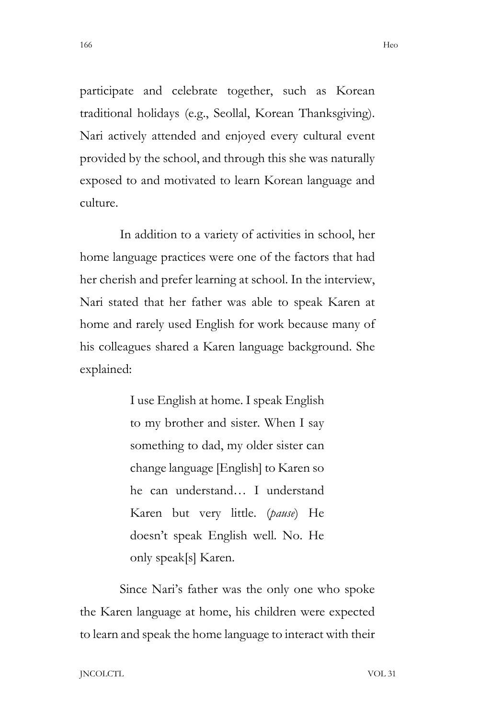participate and celebrate together, such as Korean traditional holidays (e.g., Seollal, Korean Thanksgiving). Nari actively attended and enjoyed every cultural event provided by the school, and through this she was naturally exposed to and motivated to learn Korean language and culture.

In addition to a variety of activities in school, her home language practices were one of the factors that had her cherish and prefer learning at school. In the interview, Nari stated that her father was able to speak Karen at home and rarely used English for work because many of his colleagues shared a Karen language background. She explained:

> I use English at home. I speak English to my brother and sister. When I say something to dad, my older sister can change language [English] to Karen so he can understand… I understand Karen but very little. (*pause*) He doesn't speak English well. No. He only speak[s] Karen.

Since Nari's father was the only one who spoke the Karen language at home, his children were expected to learn and speak the home language to interact with their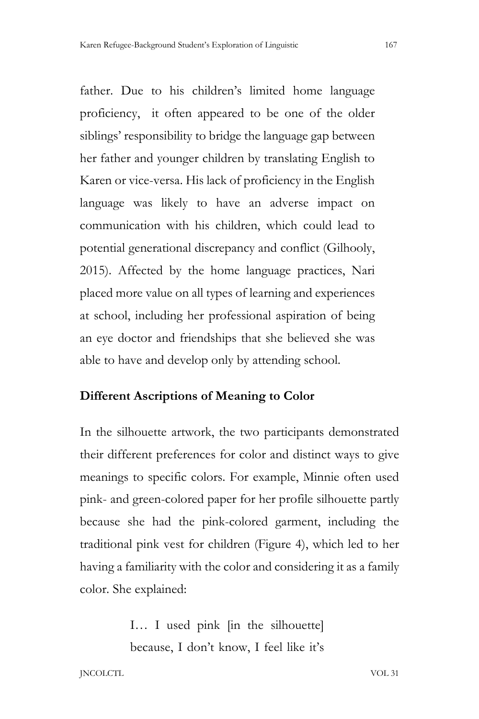father. Due to his children's limited home language proficiency, it often appeared to be one of the older siblings' responsibility to bridge the language gap between her father and younger children by translating English to Karen or vice-versa. His lack of proficiency in the English language was likely to have an adverse impact on communication with his children, which could lead to potential generational discrepancy and conflict (Gilhooly, 2015). Affected by the home language practices, Nari placed more value on all types of learning and experiences at school, including her professional aspiration of being an eye doctor and friendships that she believed she was able to have and develop only by attending school.

# **Different Ascriptions of Meaning to Color**

In the silhouette artwork, the two participants demonstrated their different preferences for color and distinct ways to give meanings to specific colors. For example, Minnie often used pink- and green-colored paper for her profile silhouette partly because she had the pink-colored garment, including the traditional pink vest for children (Figure 4), which led to her having a familiarity with the color and considering it as a family color. She explained:

> I… I used pink [in the silhouette] because, I don't know, I feel like it's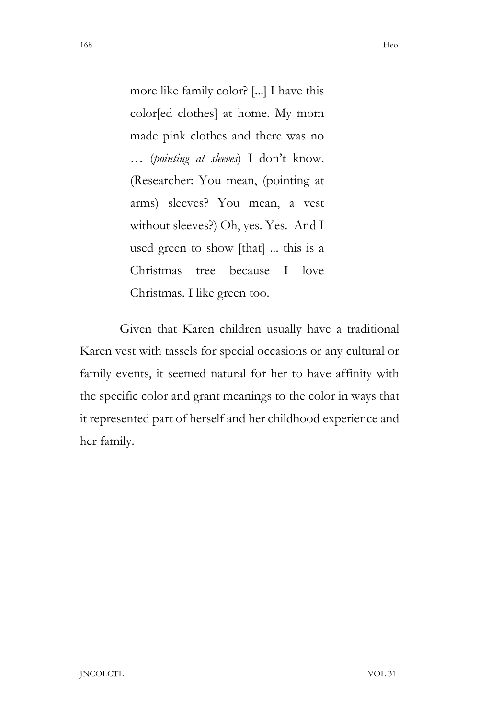more like family color? [...] I have this color[ed clothes] at home. My mom made pink clothes and there was no … (*pointing at sleeves*) I don't know. (Researcher: You mean, (pointing at arms) sleeves? You mean, a vest without sleeves?) Oh, yes. Yes. And I used green to show [that] ... this is a Christmas tree because I love Christmas. I like green too.

Given that Karen children usually have a traditional Karen vest with tassels for special occasions or any cultural or family events, it seemed natural for her to have affinity with the specific color and grant meanings to the color in ways that it represented part of herself and her childhood experience and her family.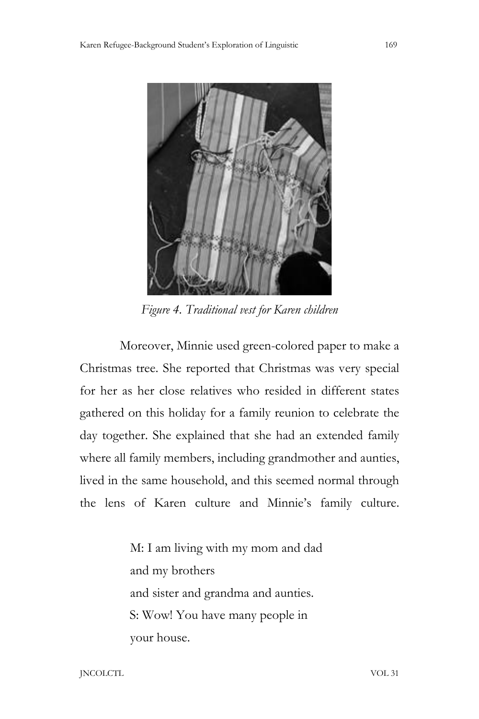

*Figure 4. Traditional vest for Karen children*

Moreover, Minnie used green-colored paper to make a Christmas tree. She reported that Christmas was very special for her as her close relatives who resided in different states gathered on this holiday for a family reunion to celebrate the day together. She explained that she had an extended family where all family members, including grandmother and aunties, lived in the same household, and this seemed normal through the lens of Karen culture and Minnie's family culture.

> M: I am living with my mom and dad and my brothers and sister and grandma and aunties. S: Wow! You have many people in your house.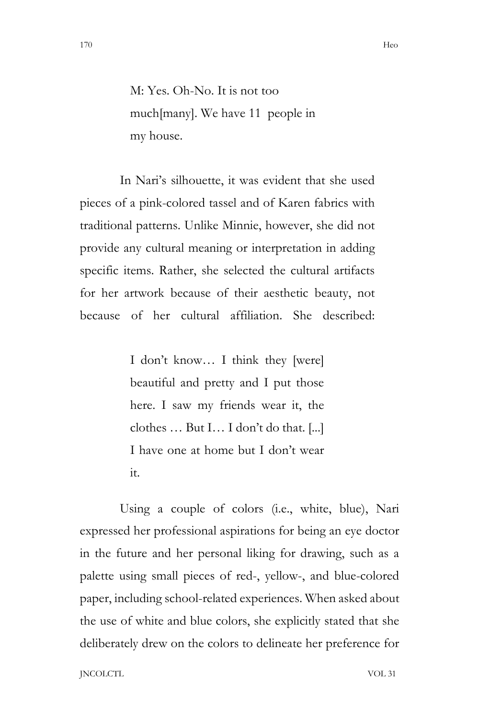M: Yes. Oh-No. It is not too much[many]. We have 11 people in my house.

In Nari's silhouette, it was evident that she used pieces of a pink-colored tassel and of Karen fabrics with traditional patterns. Unlike Minnie, however, she did not provide any cultural meaning or interpretation in adding specific items. Rather, she selected the cultural artifacts for her artwork because of their aesthetic beauty, not because of her cultural affiliation. She described:

> I don't know… I think they [were] beautiful and pretty and I put those here. I saw my friends wear it, the clothes … But I… I don't do that. [...] I have one at home but I don't wear it.

Using a couple of colors (i.e., white, blue), Nari expressed her professional aspirations for being an eye doctor in the future and her personal liking for drawing, such as a palette using small pieces of red-, yellow-, and blue-colored paper, including school-related experiences. When asked about the use of white and blue colors, she explicitly stated that she deliberately drew on the colors to delineate her preference for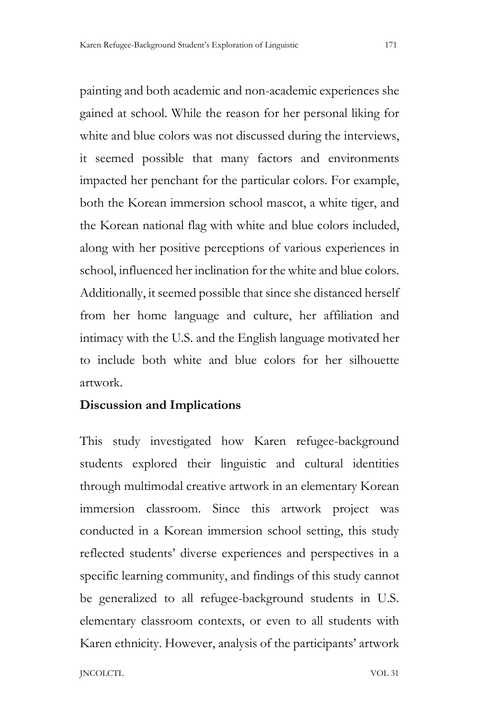painting and both academic and non-academic experiences she gained at school. While the reason for her personal liking for white and blue colors was not discussed during the interviews, it seemed possible that many factors and environments impacted her penchant for the particular colors. For example, both the Korean immersion school mascot, a white tiger, and the Korean national flag with white and blue colors included, along with her positive perceptions of various experiences in school, influenced her inclination for the white and blue colors. Additionally, it seemed possible that since she distanced herself from her home language and culture, her affiliation and intimacy with the U.S. and the English language motivated her to include both white and blue colors for her silhouette artwork.

#### **Discussion and Implications**

This study investigated how Karen refugee-background students explored their linguistic and cultural identities through multimodal creative artwork in an elementary Korean immersion classroom. Since this artwork project was conducted in a Korean immersion school setting, this study reflected students' diverse experiences and perspectives in a specific learning community, and findings of this study cannot be generalized to all refugee-background students in U.S. elementary classroom contexts, or even to all students with Karen ethnicity. However, analysis of the participants' artwork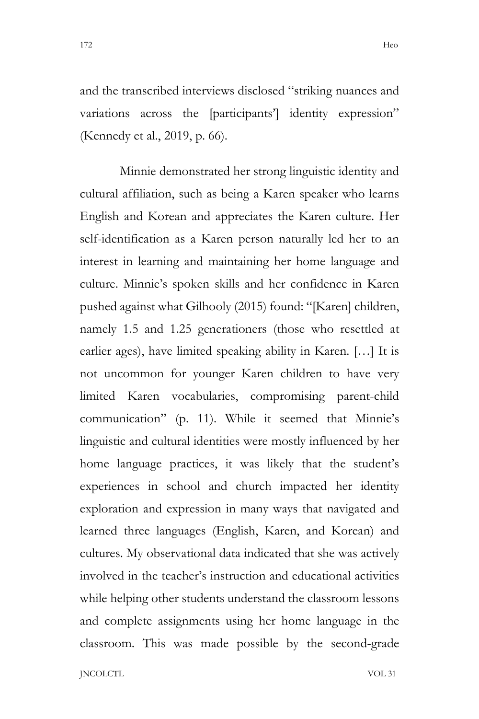and the transcribed interviews disclosed "striking nuances and variations across the [participants'] identity expression" (Kennedy et al., 2019, p. 66).

Minnie demonstrated her strong linguistic identity and cultural affiliation, such as being a Karen speaker who learns English and Korean and appreciates the Karen culture. Her self-identification as a Karen person naturally led her to an interest in learning and maintaining her home language and culture. Minnie's spoken skills and her confidence in Karen pushed against what Gilhooly (2015) found: "[Karen] children, namely 1.5 and 1.25 generationers (those who resettled at earlier ages), have limited speaking ability in Karen. […] It is not uncommon for younger Karen children to have very limited Karen vocabularies, compromising parent-child communication" (p. 11). While it seemed that Minnie's linguistic and cultural identities were mostly influenced by her home language practices, it was likely that the student's experiences in school and church impacted her identity exploration and expression in many ways that navigated and learned three languages (English, Karen, and Korean) and cultures. My observational data indicated that she was actively involved in the teacher's instruction and educational activities while helping other students understand the classroom lessons and complete assignments using her home language in the classroom. This was made possible by the second-grade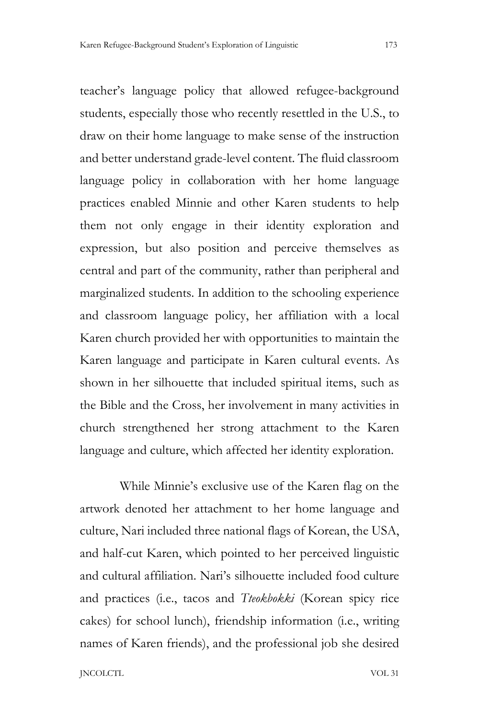teacher's language policy that allowed refugee-background students, especially those who recently resettled in the U.S., to draw on their home language to make sense of the instruction and better understand grade-level content. The fluid classroom language policy in collaboration with her home language practices enabled Minnie and other Karen students to help them not only engage in their identity exploration and expression, but also position and perceive themselves as central and part of the community, rather than peripheral and marginalized students. In addition to the schooling experience and classroom language policy, her affiliation with a local Karen church provided her with opportunities to maintain the Karen language and participate in Karen cultural events. As shown in her silhouette that included spiritual items, such as the Bible and the Cross, her involvement in many activities in church strengthened her strong attachment to the Karen language and culture, which affected her identity exploration.

While Minnie's exclusive use of the Karen flag on the artwork denoted her attachment to her home language and culture, Nari included three national flags of Korean, the USA, and half-cut Karen, which pointed to her perceived linguistic and cultural affiliation. Nari's silhouette included food culture and practices (i.e., tacos and *Tteokbokki* (Korean spicy rice cakes) for school lunch), friendship information (i.e., writing names of Karen friends), and the professional job she desired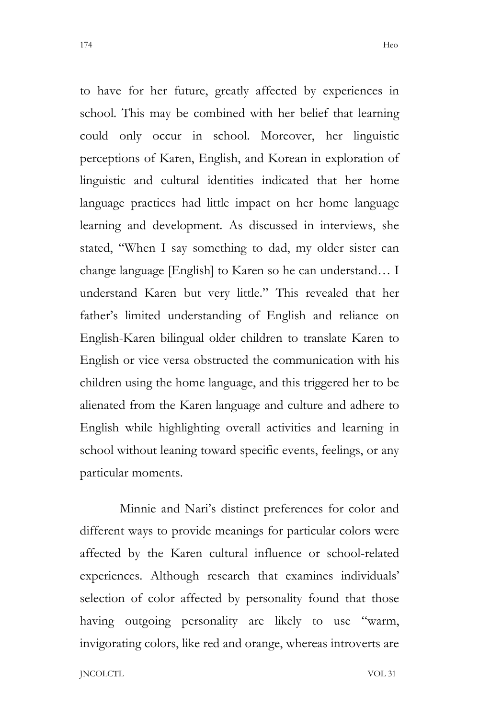to have for her future, greatly affected by experiences in school. This may be combined with her belief that learning could only occur in school. Moreover, her linguistic perceptions of Karen, English, and Korean in exploration of linguistic and cultural identities indicated that her home language practices had little impact on her home language learning and development. As discussed in interviews, she stated, "When I say something to dad, my older sister can change language [English] to Karen so he can understand… I understand Karen but very little." This revealed that her father's limited understanding of English and reliance on English-Karen bilingual older children to translate Karen to English or vice versa obstructed the communication with his children using the home language, and this triggered her to be alienated from the Karen language and culture and adhere to English while highlighting overall activities and learning in school without leaning toward specific events, feelings, or any particular moments.

Minnie and Nari's distinct preferences for color and different ways to provide meanings for particular colors were affected by the Karen cultural influence or school-related experiences. Although research that examines individuals' selection of color affected by personality found that those having outgoing personality are likely to use "warm, invigorating colors, like red and orange, whereas introverts are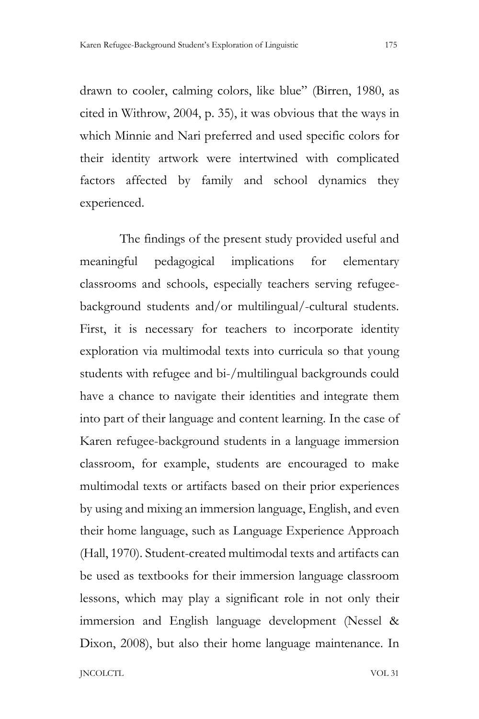drawn to cooler, calming colors, like blue" (Birren, 1980, as cited in Withrow, 2004, p. 35), it was obvious that the ways in which Minnie and Nari preferred and used specific colors for their identity artwork were intertwined with complicated factors affected by family and school dynamics they experienced.

The findings of the present study provided useful and meaningful pedagogical implications for elementary classrooms and schools, especially teachers serving refugeebackground students and/or multilingual/-cultural students. First, it is necessary for teachers to incorporate identity exploration via multimodal texts into curricula so that young students with refugee and bi-/multilingual backgrounds could have a chance to navigate their identities and integrate them into part of their language and content learning. In the case of Karen refugee-background students in a language immersion classroom, for example, students are encouraged to make multimodal texts or artifacts based on their prior experiences by using and mixing an immersion language, English, and even their home language, such as Language Experience Approach (Hall, 1970). Student-created multimodal texts and artifacts can be used as textbooks for their immersion language classroom lessons, which may play a significant role in not only their immersion and English language development (Nessel & Dixon, 2008), but also their home language maintenance. In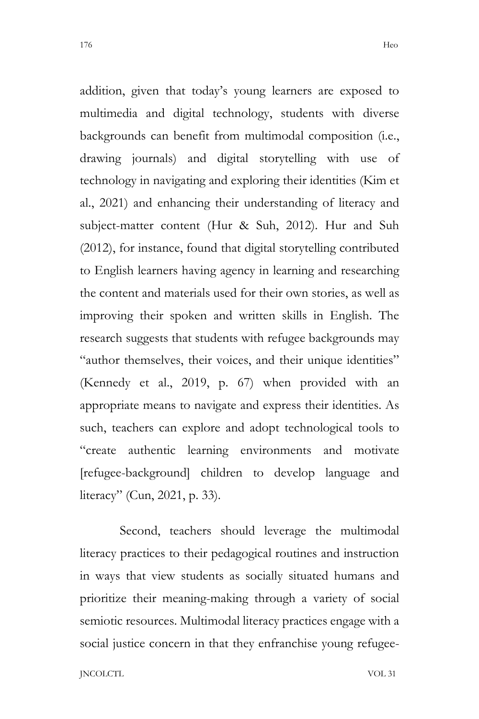addition, given that today's young learners are exposed to multimedia and digital technology, students with diverse backgrounds can benefit from multimodal composition (i.e., drawing journals) and digital storytelling with use of technology in navigating and exploring their identities (Kim et al., 2021) and enhancing their understanding of literacy and subject-matter content (Hur & Suh, 2012). Hur and Suh (2012), for instance, found that digital storytelling contributed to English learners having agency in learning and researching the content and materials used for their own stories, as well as improving their spoken and written skills in English. The research suggests that students with refugee backgrounds may "author themselves, their voices, and their unique identities" (Kennedy et al., 2019, p. 67) when provided with an appropriate means to navigate and express their identities. As such, teachers can explore and adopt technological tools to "create authentic learning environments and motivate [refugee-background] children to develop language and literacy" (Cun, 2021, p. 33).

Second, teachers should leverage the multimodal literacy practices to their pedagogical routines and instruction in ways that view students as socially situated humans and prioritize their meaning-making through a variety of social semiotic resources. Multimodal literacy practices engage with a social justice concern in that they enfranchise young refugee-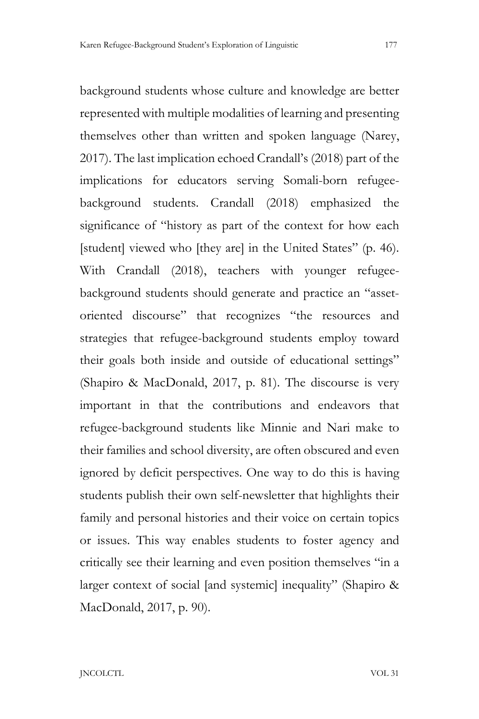background students whose culture and knowledge are better represented with multiple modalities of learning and presenting themselves other than written and spoken language (Narey, 2017). The last implication echoed Crandall's (2018) part of the implications for educators serving Somali-born refugeebackground students. Crandall (2018) emphasized the significance of "history as part of the context for how each [student] viewed who [they are] in the United States" (p. 46). With Crandall (2018), teachers with younger refugeebackground students should generate and practice an "assetoriented discourse" that recognizes "the resources and strategies that refugee-background students employ toward their goals both inside and outside of educational settings" (Shapiro & MacDonald, 2017, p. 81). The discourse is very important in that the contributions and endeavors that refugee-background students like Minnie and Nari make to their families and school diversity, are often obscured and even ignored by deficit perspectives. One way to do this is having students publish their own self-newsletter that highlights their family and personal histories and their voice on certain topics or issues. This way enables students to foster agency and critically see their learning and even position themselves "in a larger context of social [and systemic] inequality" (Shapiro & MacDonald, 2017, p. 90).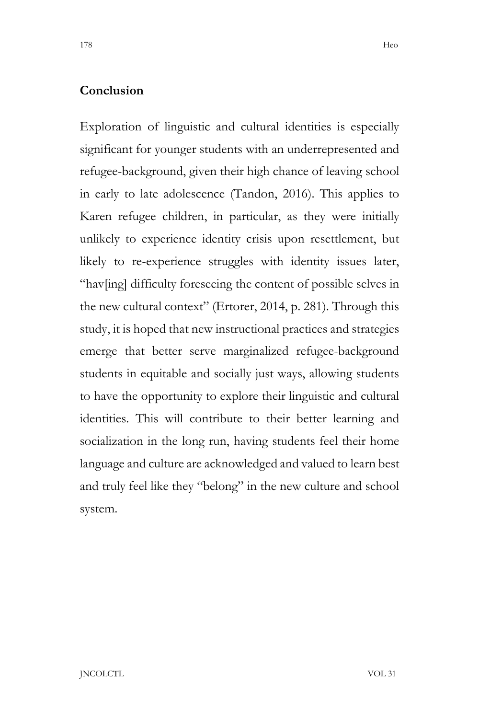# **Conclusion**

Exploration of linguistic and cultural identities is especially significant for younger students with an underrepresented and refugee-background, given their high chance of leaving school in early to late adolescence (Tandon, 2016). This applies to Karen refugee children, in particular, as they were initially unlikely to experience identity crisis upon resettlement, but likely to re-experience struggles with identity issues later, "hav[ing] difficulty foreseeing the content of possible selves in the new cultural context" (Ertorer, 2014, p. 281). Through this study, it is hoped that new instructional practices and strategies emerge that better serve marginalized refugee-background students in equitable and socially just ways, allowing students to have the opportunity to explore their linguistic and cultural identities. This will contribute to their better learning and socialization in the long run, having students feel their home language and culture are acknowledged and valued to learn best and truly feel like they "belong" in the new culture and school system.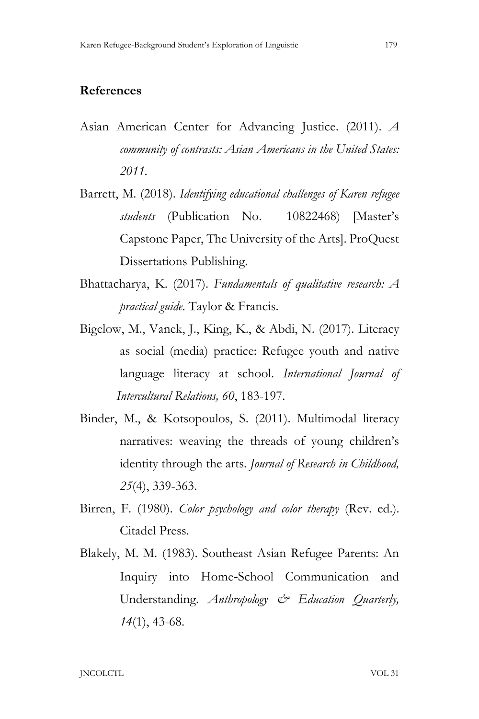### **References**

- Asian American Center for Advancing Justice. (2011). *A community of contrasts: Asian Americans in the United States: 2011.*
- Barrett, M. (2018). *Identifying educational challenges of Karen refugee students* (Publication No. 10822468) [Master's Capstone Paper, The University of the Arts]. ProQuest Dissertations Publishing.
- Bhattacharya, K. (2017). *Fundamentals of qualitative research: A practical guide*. Taylor & Francis.
- Bigelow, M., Vanek, J., King, K., & Abdi, N. (2017). Literacy as social (media) practice: Refugee youth and native language literacy at school. *International Journal of Intercultural Relations, 60*, 183-197.
- Binder, M., & Kotsopoulos, S. (2011). Multimodal literacy narratives: weaving the threads of young children's identity through the arts. *Journal of Research in Childhood, 25*(4), 339-363.
- Birren, F. (1980). *Color psychology and color therapy* (Rev. ed.). Citadel Press.
- Blakely, M. M. (1983). Southeast Asian Refugee Parents: An Inquiry into Home‐School Communication and Understanding. *Anthropology & Education Quarterly, 14*(1), 43-68.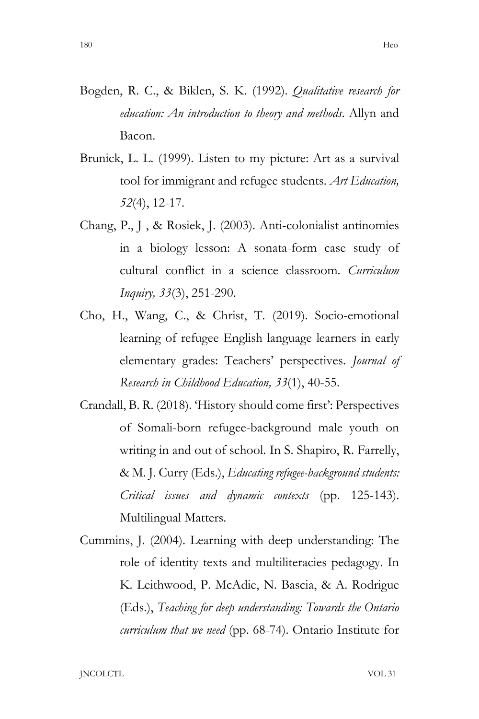- Bogden, R. C., & Biklen, S. K. (1992). *Qualitative research for education: An introduction to theory and methods*. Allyn and Bacon.
- Brunick, L. L. (1999). Listen to my picture: Art as a survival tool for immigrant and refugee students. *Art Education, 52*(4), 12-17.
- Chang, P., J , & Rosiek, J. (2003). Anti-colonialist antinomies in a biology lesson: A sonata-form case study of cultural conflict in a science classroom. *Curriculum Inquiry, 33*(3), 251-290.
- Cho, H., Wang, C., & Christ, T. (2019). Socio-emotional learning of refugee English language learners in early elementary grades: Teachers' perspectives. *Journal of Research in Childhood Education, 33*(1), 40-55.
- Crandall, B. R. (2018). 'History should come first': Perspectives of Somali-born refugee-background male youth on writing in and out of school. In S. Shapiro, R. Farrelly, & M. J. Curry (Eds.), *Educating refugee-background students: Critical issues and dynamic contexts* (pp. 125-143). Multilingual Matters.
- Cummins, J. (2004). Learning with deep understanding: The role of identity texts and multiliteracies pedagogy. In K. Leithwood, P. McAdie, N. Bascia, & A. Rodrigue (Eds.), *Teaching for deep understanding: Towards the Ontario curriculum that we need* (pp. 68-74). Ontario Institute for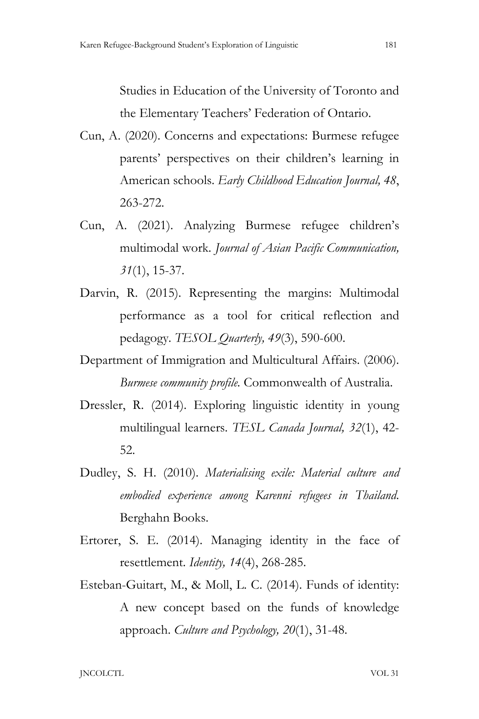Studies in Education of the University of Toronto and the Elementary Teachers' Federation of Ontario.

- Cun, A. (2020). Concerns and expectations: Burmese refugee parents' perspectives on their children's learning in American schools. *Early Childhood Education Journal, 48*, 263-272.
- Cun, A. (2021). Analyzing Burmese refugee children's multimodal work*. Journal of Asian Pacific Communication, 31*(1), 15-37.
- Darvin, R. (2015). Representing the margins: Multimodal performance as a tool for critical reflection and pedagogy. *TESOL Quarterly, 49*(3), 590-600.
- Department of Immigration and Multicultural Affairs. (2006).  *Burmese community profile.* Commonwealth of Australia.
- Dressler, R. (2014). Exploring linguistic identity in young multilingual learners. *TESL Canada Journal, 32*(1), 42- 52.
- Dudley, S. H. (2010). *Materialising exile: Material culture and embodied experience among Karenni refugees in Thailand*. Berghahn Books.
- Ertorer, S. E. (2014). Managing identity in the face of resettlement. *Identity, 14*(4), 268-285.
- Esteban-Guitart, M., & Moll, L. C. (2014). Funds of identity: A new concept based on the funds of knowledge approach. *Culture and Psychology, 20*(1), 31-48.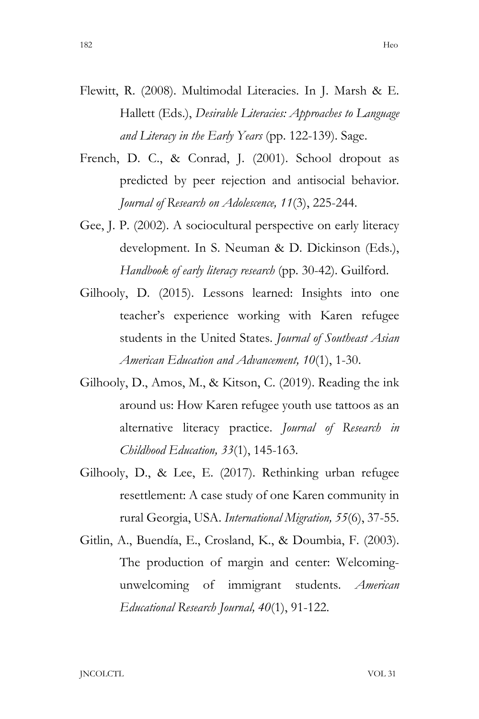- Flewitt, R. (2008). Multimodal Literacies. In J. Marsh & E. Hallett (Eds.), *Desirable Literacies: Approaches to Language and Literacy in the Early Years* (pp. 122-139). Sage.
- French, D. C., & Conrad, J. (2001). School dropout as predicted by peer rejection and antisocial behavior. *Journal of Research on Adolescence, 11*(3), 225-244.
- Gee, J. P. (2002). A sociocultural perspective on early literacy development. In S. Neuman & D. Dickinson (Eds.), *Handbook of early literacy research* (pp. 30-42). Guilford.
- Gilhooly, D. (2015). Lessons learned: Insights into one teacher's experience working with Karen refugee students in the United States. *Journal of Southeast Asian American Education and Advancement, 10*(1), 1-30.
- Gilhooly, D., Amos, M., & Kitson, C. (2019). Reading the ink around us: How Karen refugee youth use tattoos as an alternative literacy practice. *Journal of Research in Childhood Education, 33*(1), 145-163.
- Gilhooly, D., & Lee, E. (2017). Rethinking urban refugee resettlement: A case study of one Karen community in rural Georgia, USA. *International Migration, 55*(6), 37-55.
- Gitlin, A., Buendía, E., Crosland, K., & Doumbia, F. (2003). The production of margin and center: Welcomingunwelcoming of immigrant students. *American Educational Research Journal, 40*(1), 91-122.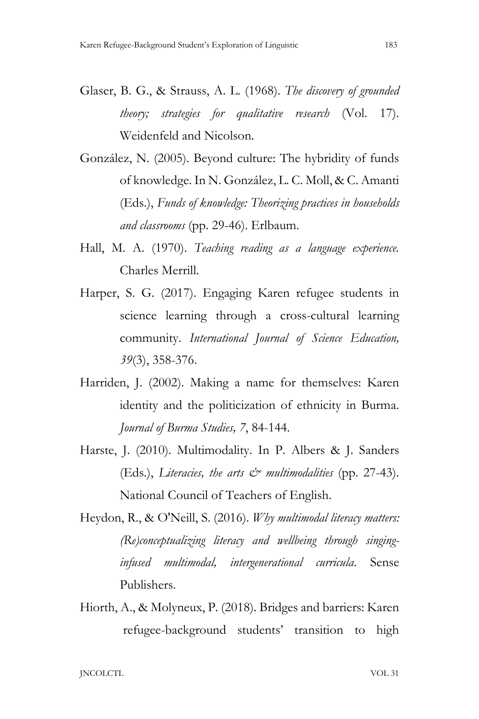- Glaser, B. G., & Strauss, A. L. (1968). *The discovery of grounded theory; strategies for qualitative research* (Vol. 17). Weidenfeld and Nicolson.
- González, N. (2005). Beyond culture: The hybridity of funds of knowledge. In N. González, L. C. Moll, & C. Amanti (Eds.), *Funds of knowledge: Theorizing practices in households and classrooms* (pp. 29-46). Erlbaum.
- Hall, M. A. (1970). *Teaching reading as a language experience.* Charles Merrill.
- Harper, S. G. (2017). Engaging Karen refugee students in science learning through a cross-cultural learning community. *International Journal of Science Education, 39*(3), 358-376.
- Harriden, J. (2002). Making a name for themselves: Karen identity and the politicization of ethnicity in Burma. *Journal of Burma Studies, 7*, 84-144.
- Harste, J. (2010). Multimodality. In P. Albers & J. Sanders (Eds.), *Literacies, the arts & multimodalities* (pp. 27-43). National Council of Teachers of English.
- Heydon, R., & O'Neill, S. (2016). *Why multimodal literacy matters: (Re)conceptualizing literacy and wellbeing through singing infused multimodal, intergenerational curricula*. Sense Publishers.
- Hiorth, A., & Molyneux, P. (2018). Bridges and barriers: Karen refugee-background students' transition to high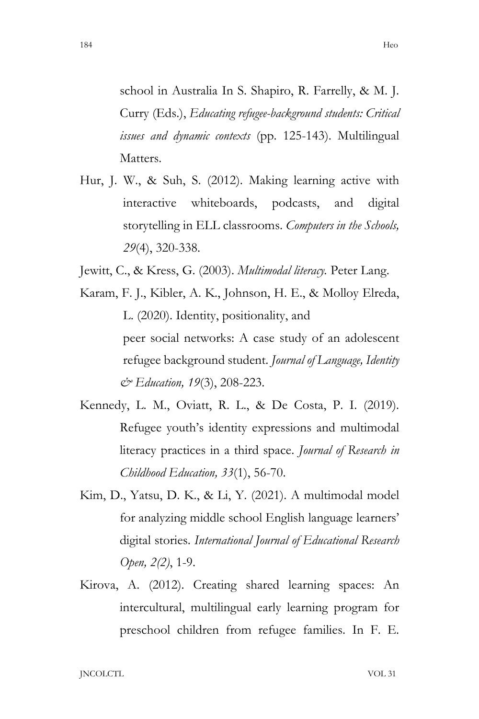school in Australia In S. Shapiro, R. Farrelly, & M. J. Curry (Eds.), *Educating refugee-background students: Critical issues and dynamic contexts* (pp. 125-143). Multilingual Matters.

- Hur, J. W., & Suh, S. (2012). Making learning active with interactive whiteboards, podcasts, and digital storytelling in ELL classrooms. *Computers in the Schools, 29*(4), 320-338.
- Jewitt, C., & Kress, G. (2003). *Multimodal literacy.* Peter Lang.
- Karam, F. J., Kibler, A. K., Johnson, H. E., & Molloy Elreda, L. (2020). Identity, positionality, and peer social networks: A case study of an adolescent refugee background student. *Journal of Language, Identity & Education, 19*(3), 208-223.
- Kennedy, L. M., Oviatt, R. L., & De Costa, P. I. (2019). Refugee youth's identity expressions and multimodal literacy practices in a third space. *Journal of Research in Childhood Education, 33*(1), 56-70.
- Kim, D., Yatsu, D. K., & Li, Y. (2021). A multimodal model for analyzing middle school English language learners' digital stories. *International Journal of Educational Research Open, 2(2)*, 1-9.
- Kirova, A. (2012). Creating shared learning spaces: An intercultural, multilingual early learning program for preschool children from refugee families. In F. E.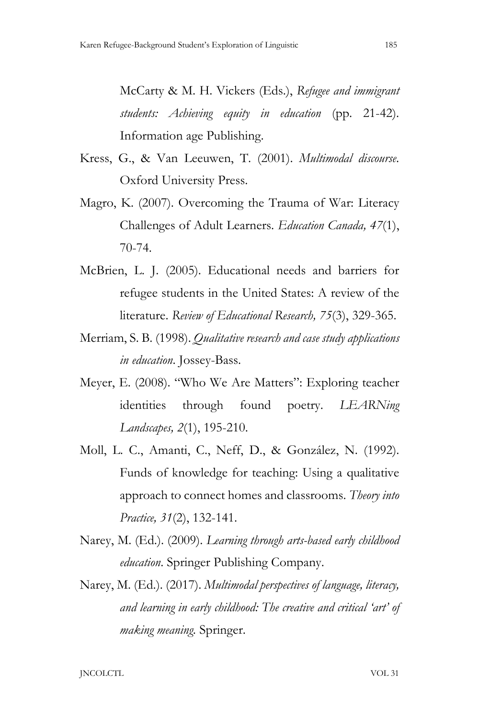McCarty & M. H. Vickers (Eds.), *Refugee and immigrant students: Achieving equity in education* (pp. 21-42). Information age Publishing.

- Kress, G., & Van Leeuwen, T. (2001). *Multimodal discourse*. Oxford University Press.
- Magro, K. (2007). Overcoming the Trauma of War: Literacy Challenges of Adult Learners. *Education Canada, 47*(1), 70-74.
- McBrien, L. J. (2005). Educational needs and barriers for refugee students in the United States: A review of the literature. *Review of Educational Research, 75*(3), 329-365.
- Merriam, S. B. (1998). *Qualitative research and case study applications in education*. Jossey-Bass.
- Meyer, E. (2008). "Who We Are Matters": Exploring teacher identities through found poetry. *LEARNing Landscapes, 2*(1), 195-210.
- Moll, L. C., Amanti, C., Neff, D., & González, N. (1992). Funds of knowledge for teaching: Using a qualitative approach to connect homes and classrooms. *Theory into Practice, 31*(2), 132-141.
- Narey, M. (Ed.). (2009). *Learning through arts-based early childhood education*. Springer Publishing Company.
- Narey, M. (Ed.). (2017). *Multimodal perspectives of language, literacy, and learning in early childhood: The creative and critical 'art' of making meaning.* Springer.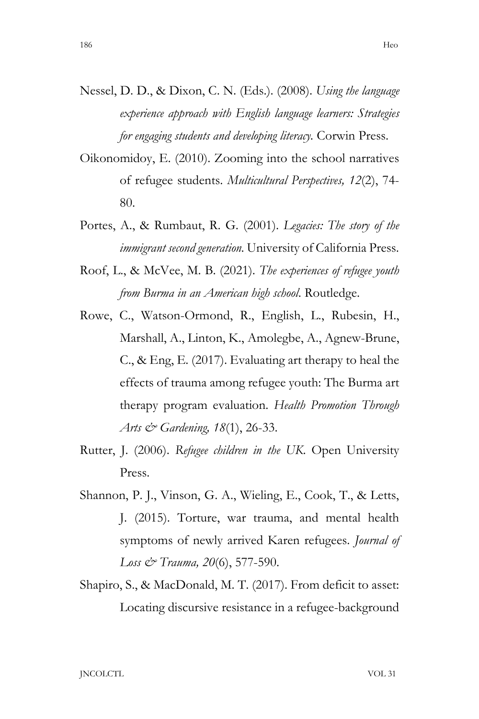- Nessel, D. D., & Dixon, C. N. (Eds.). (2008). *Using the language experience approach with English language learners: Strategies for engaging students and developing literacy.* Corwin Press.
- Oikonomidoy, E. (2010). Zooming into the school narratives of refugee students. *Multicultural Perspectives, 12*(2), 74- 80.
- Portes, A., & Rumbaut, R. G. (2001). *Legacies: The story of the immigrant second generation.* University of California Press.
- Roof, L., & McVee, M. B. (2021). *The experiences of refugee youth from Burma in an American high school*. Routledge.
- Rowe, C., Watson-Ormond, R., English, L., Rubesin, H., Marshall, A., Linton, K., Amolegbe, A., Agnew-Brune, C., & Eng, E. (2017). Evaluating art therapy to heal the effects of trauma among refugee youth: The Burma art therapy program evaluation. *Health Promotion Through Arts & Gardening, 18*(1), 26-33.
- Rutter, J. (2006). *Refugee children in the UK*. Open University Press.
- Shannon, P. J., Vinson, G. A., Wieling, E., Cook, T., & Letts, J. (2015). Torture, war trauma, and mental health symptoms of newly arrived Karen refugees. *Journal of Loss & Trauma, 20*(6), 577-590.
- Shapiro, S., & MacDonald, M. T. (2017). From deficit to asset: Locating discursive resistance in a refugee-background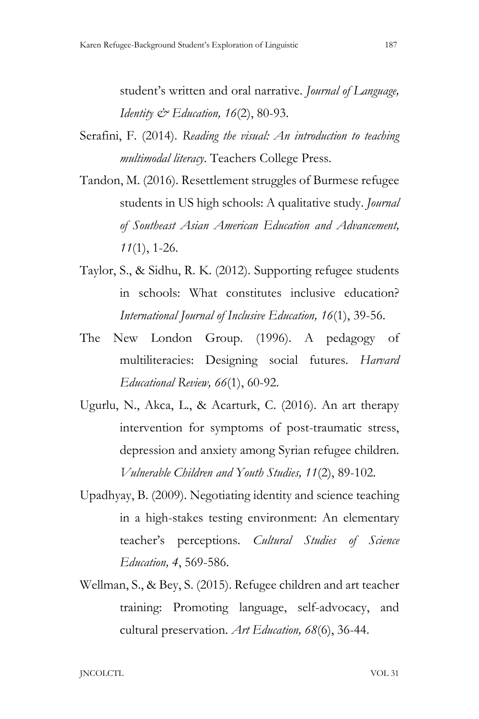student's written and oral narrative. *Journal of Language, Identity*  $\mathcal{Q}$ *<sup>2</sup> Education, 16(2)*, 80-93.

- Serafini, F. (2014). *Reading the visual: An introduction to teaching multimodal literacy*. Teachers College Press.
- Tandon, M. (2016). Resettlement struggles of Burmese refugee students in US high schools: A qualitative study. *Journal of Southeast Asian American Education and Advancement, 11*(1), 1-26.
- Taylor, S., & Sidhu, R. K. (2012). Supporting refugee students in schools: What constitutes inclusive education? *International Journal of Inclusive Education, 16*(1), 39-56.
- The New London Group. (1996). A pedagogy of multiliteracies: Designing social futures. *Harvard Educational Review, 66*(1), 60-92.
- Ugurlu, N., Akca, L., & Acarturk, C. (2016). An art therapy intervention for symptoms of post-traumatic stress, depression and anxiety among Syrian refugee children. *Vulnerable Children and Youth Studies, 11*(2), 89-102.
- Upadhyay, B. (2009). Negotiating identity and science teaching in a high-stakes testing environment: An elementary teacher's perceptions. *Cultural Studies of Science Education, 4*, 569-586.
- Wellman, S., & Bey, S. (2015). Refugee children and art teacher training: Promoting language, self-advocacy, and cultural preservation. *Art Education, 68*(6), 36-44.